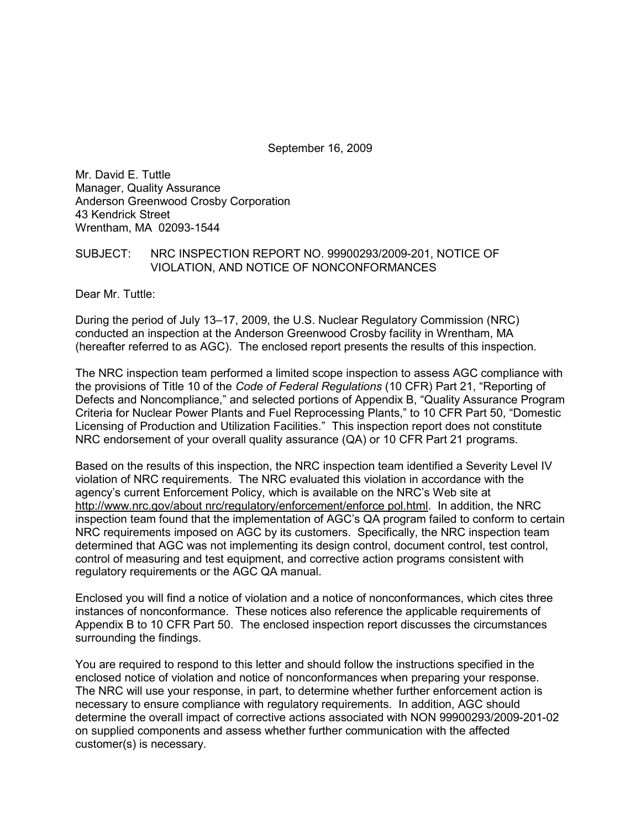September 16, 2009

Mr. David E. Tuttle Manager, Quality Assurance Anderson Greenwood Crosby Corporation 43 Kendrick Street Wrentham, MA 02093-1544

#### SUBJECT: NRC INSPECTION REPORT NO. 99900293/2009-201, NOTICE OF VIOLATION, AND NOTICE OF NONCONFORMANCES

Dear Mr. Tuttle:

During the period of July 13–17, 2009, the U.S. Nuclear Regulatory Commission (NRC) conducted an inspection at the Anderson Greenwood Crosby facility in Wrentham, MA (hereafter referred to as AGC). The enclosed report presents the results of this inspection.

The NRC inspection team performed a limited scope inspection to assess AGC compliance with the provisions of Title 10 of the *Code of Federal Regulations* (10 CFR) Part 21, "Reporting of Defects and Noncompliance," and selected portions of Appendix B, "Quality Assurance Program Criteria for Nuclear Power Plants and Fuel Reprocessing Plants," to 10 CFR Part 50, "Domestic Licensing of Production and Utilization Facilities." This inspection report does not constitute NRC endorsement of your overall quality assurance (QA) or 10 CFR Part 21 programs.

Based on the results of this inspection, the NRC inspection team identified a Severity Level IV violation of NRC requirements. The NRC evaluated this violation in accordance with the agency's current Enforcement Policy, which is available on the NRC's Web site at http://www.nrc.gov/about nrc/regulatory/enforcement/enforce pol.html. In addition, the NRC inspection team found that the implementation of AGC's QA program failed to conform to certain NRC requirements imposed on AGC by its customers. Specifically, the NRC inspection team determined that AGC was not implementing its design control, document control, test control, control of measuring and test equipment, and corrective action programs consistent with regulatory requirements or the AGC QA manual.

Enclosed you will find a notice of violation and a notice of nonconformances, which cites three instances of nonconformance. These notices also reference the applicable requirements of Appendix B to 10 CFR Part 50. The enclosed inspection report discusses the circumstances surrounding the findings.

You are required to respond to this letter and should follow the instructions specified in the enclosed notice of violation and notice of nonconformances when preparing your response. The NRC will use your response, in part, to determine whether further enforcement action is necessary to ensure compliance with regulatory requirements. In addition, AGC should determine the overall impact of corrective actions associated with NON 99900293/2009-201-02 on supplied components and assess whether further communication with the affected customer(s) is necessary.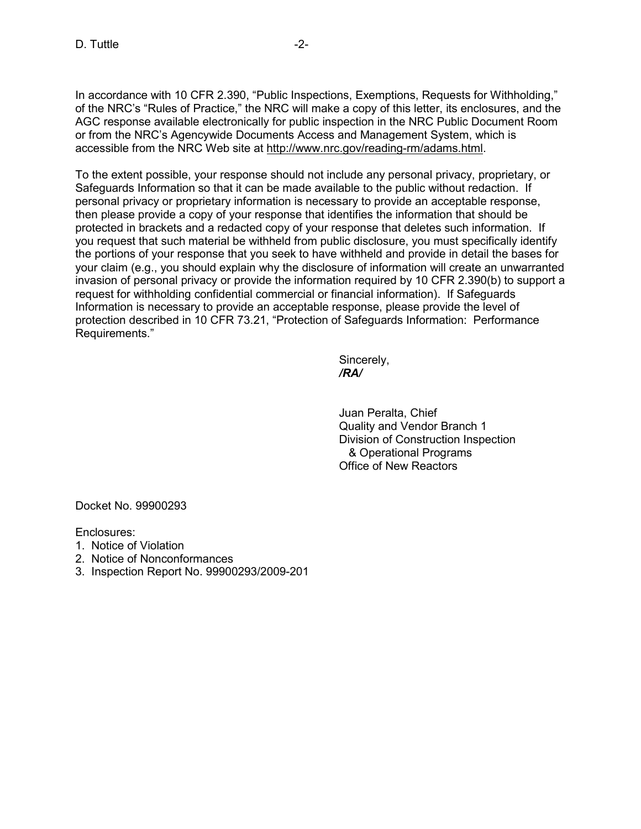In accordance with 10 CFR 2.390, "Public Inspections, Exemptions, Requests for Withholding," of the NRC's "Rules of Practice," the NRC will make a copy of this letter, its enclosures, and the AGC response available electronically for public inspection in the NRC Public Document Room or from the NRC's Agencywide Documents Access and Management System, which is accessible from the NRC Web site at http://www.nrc.gov/reading-rm/adams.html.

To the extent possible, your response should not include any personal privacy, proprietary, or Safeguards Information so that it can be made available to the public without redaction. If personal privacy or proprietary information is necessary to provide an acceptable response, then please provide a copy of your response that identifies the information that should be protected in brackets and a redacted copy of your response that deletes such information. If you request that such material be withheld from public disclosure, you must specifically identify the portions of your response that you seek to have withheld and provide in detail the bases for your claim (e.g., you should explain why the disclosure of information will create an unwarranted invasion of personal privacy or provide the information required by 10 CFR 2.390(b) to support a request for withholding confidential commercial or financial information). If Safeguards Information is necessary to provide an acceptable response, please provide the level of protection described in 10 CFR 73.21, "Protection of Safeguards Information: Performance Requirements."

 Sincerely,  */RA/* 

> Juan Peralta, Chief Quality and Vendor Branch 1 Division of Construction Inspection & Operational Programs Office of New Reactors

Docket No. 99900293

Enclosures:

- 1. Notice of Violation
- 2. Notice of Nonconformances
- 3. Inspection Report No. 99900293/2009-201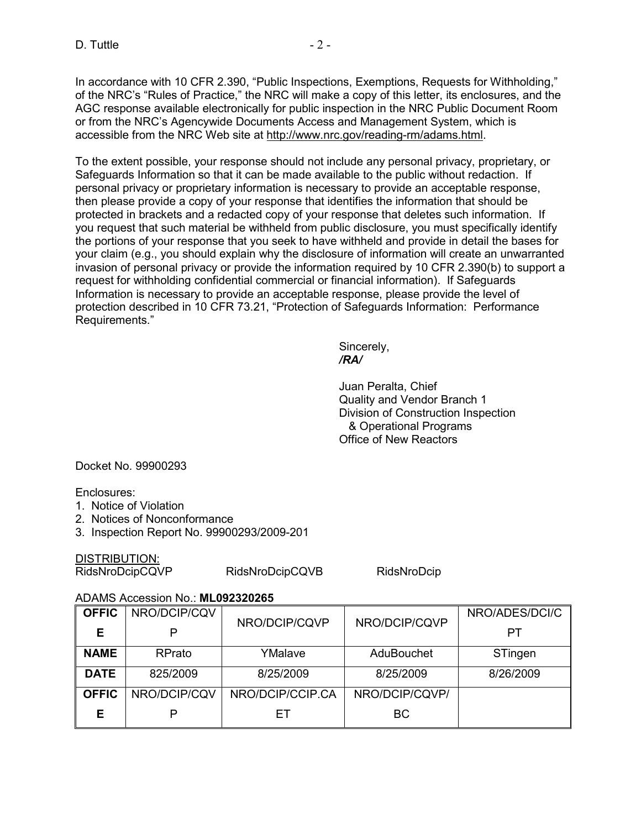In accordance with 10 CFR 2.390, "Public Inspections, Exemptions, Requests for Withholding," of the NRC's "Rules of Practice," the NRC will make a copy of this letter, its enclosures, and the AGC response available electronically for public inspection in the NRC Public Document Room or from the NRC's Agencywide Documents Access and Management System, which is accessible from the NRC Web site at http://www.nrc.gov/reading-rm/adams.html.

To the extent possible, your response should not include any personal privacy, proprietary, or Safeguards Information so that it can be made available to the public without redaction. If personal privacy or proprietary information is necessary to provide an acceptable response, then please provide a copy of your response that identifies the information that should be protected in brackets and a redacted copy of your response that deletes such information. If you request that such material be withheld from public disclosure, you must specifically identify the portions of your response that you seek to have withheld and provide in detail the bases for your claim (e.g., you should explain why the disclosure of information will create an unwarranted invasion of personal privacy or provide the information required by 10 CFR 2.390(b) to support a request for withholding confidential commercial or financial information). If Safeguards Information is necessary to provide an acceptable response, please provide the level of protection described in 10 CFR 73.21, "Protection of Safeguards Information: Performance Requirements."

 Sincerely,  */RA/* 

> Juan Peralta, Chief Quality and Vendor Branch 1 Division of Construction Inspection & Operational Programs Office of New Reactors

Docket No. 99900293

Enclosures:

- 1. Notice of Violation
- 2. Notices of Nonconformance
- 3. Inspection Report No. 99900293/2009-201

DISTRIBUTION:

RidsNroDcipCQVP RidsNroDcipCQVB RidsNroDcip

#### ADAMS Accession No.: **ML092320265**

| <b>OFFIC</b> | NRO/DCIP/CQV | NRO/DCIP/CQVP    | NRO/DCIP/CQVP  | NRO/ADES/DCI/C |
|--------------|--------------|------------------|----------------|----------------|
| Е            | P            |                  |                | PТ             |
| <b>NAME</b>  | RPrato       | YMalave          | AduBouchet     | STingen        |
| <b>DATE</b>  | 825/2009     | 8/25/2009        | 8/25/2009      | 8/26/2009      |
| <b>OFFIC</b> | NRO/DCIP/CQV | NRO/DCIP/CCIP.CA | NRO/DCIP/CQVP/ |                |
| Е            | D            | FТ               | BС             |                |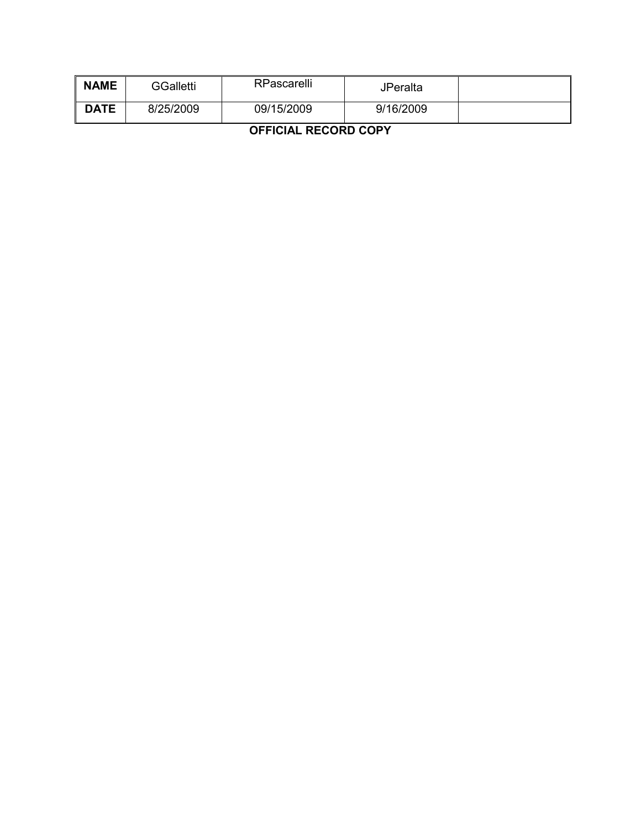| <b>NAME</b> | <b>GGalletti</b> | RPascarelli | JPeralta  |  |
|-------------|------------------|-------------|-----------|--|
| <b>DATE</b> | 8/25/2009        | 09/15/2009  | 9/16/2009 |  |

**OFFICIAL RECORD COPY**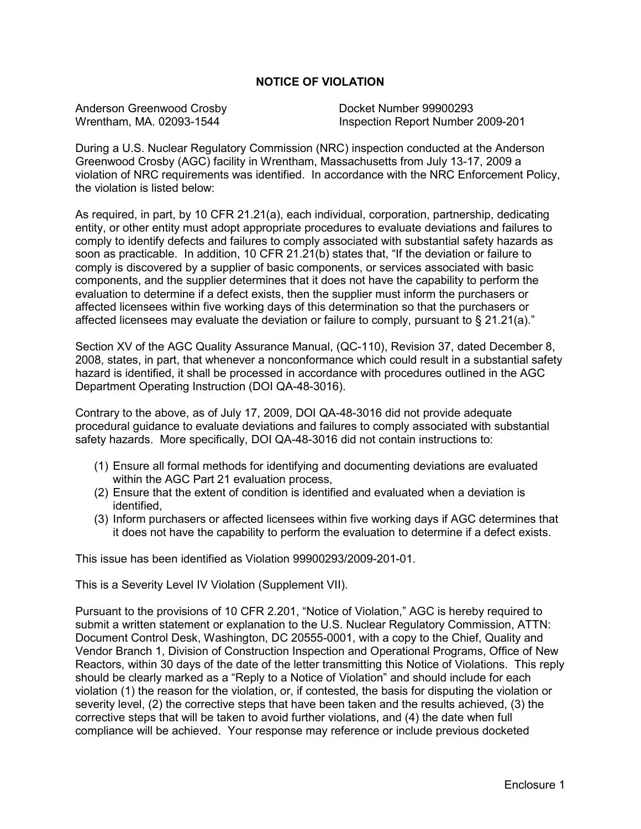#### **NOTICE OF VIOLATION**

Anderson Greenwood Crosby<br>
Wrentham, MA. 02093-1544<br>
Unspection Report Number

Inspection Report Number 2009-201

During a U.S. Nuclear Regulatory Commission (NRC) inspection conducted at the Anderson Greenwood Crosby (AGC) facility in Wrentham, Massachusetts from July 13-17, 2009 a violation of NRC requirements was identified. In accordance with the NRC Enforcement Policy, the violation is listed below:

As required, in part, by 10 CFR 21.21(a), each individual, corporation, partnership, dedicating entity, or other entity must adopt appropriate procedures to evaluate deviations and failures to comply to identify defects and failures to comply associated with substantial safety hazards as soon as practicable. In addition, 10 CFR 21.21(b) states that, "If the deviation or failure to comply is discovered by a supplier of basic components, or services associated with basic components, and the supplier determines that it does not have the capability to perform the evaluation to determine if a defect exists, then the supplier must inform the purchasers or affected licensees within five working days of this determination so that the purchasers or affected licensees may evaluate the deviation or failure to comply, pursuant to § 21.21(a)."

Section XV of the AGC Quality Assurance Manual, (QC-110), Revision 37, dated December 8, 2008, states, in part, that whenever a nonconformance which could result in a substantial safety hazard is identified, it shall be processed in accordance with procedures outlined in the AGC Department Operating Instruction (DOI QA-48-3016).

Contrary to the above, as of July 17, 2009, DOI QA-48-3016 did not provide adequate procedural guidance to evaluate deviations and failures to comply associated with substantial safety hazards. More specifically, DOI QA-48-3016 did not contain instructions to:

- (1) Ensure all formal methods for identifying and documenting deviations are evaluated within the AGC Part 21 evaluation process,
- (2) Ensure that the extent of condition is identified and evaluated when a deviation is identified,
- (3) Inform purchasers or affected licensees within five working days if AGC determines that it does not have the capability to perform the evaluation to determine if a defect exists.

This issue has been identified as Violation 99900293/2009-201-01.

This is a Severity Level IV Violation (Supplement VII).

Pursuant to the provisions of 10 CFR 2.201, "Notice of Violation," AGC is hereby required to submit a written statement or explanation to the U.S. Nuclear Regulatory Commission, ATTN: Document Control Desk, Washington, DC 20555-0001, with a copy to the Chief, Quality and Vendor Branch 1, Division of Construction Inspection and Operational Programs, Office of New Reactors, within 30 days of the date of the letter transmitting this Notice of Violations. This reply should be clearly marked as a "Reply to a Notice of Violation" and should include for each violation (1) the reason for the violation, or, if contested, the basis for disputing the violation or severity level, (2) the corrective steps that have been taken and the results achieved, (3) the corrective steps that will be taken to avoid further violations, and (4) the date when full compliance will be achieved. Your response may reference or include previous docketed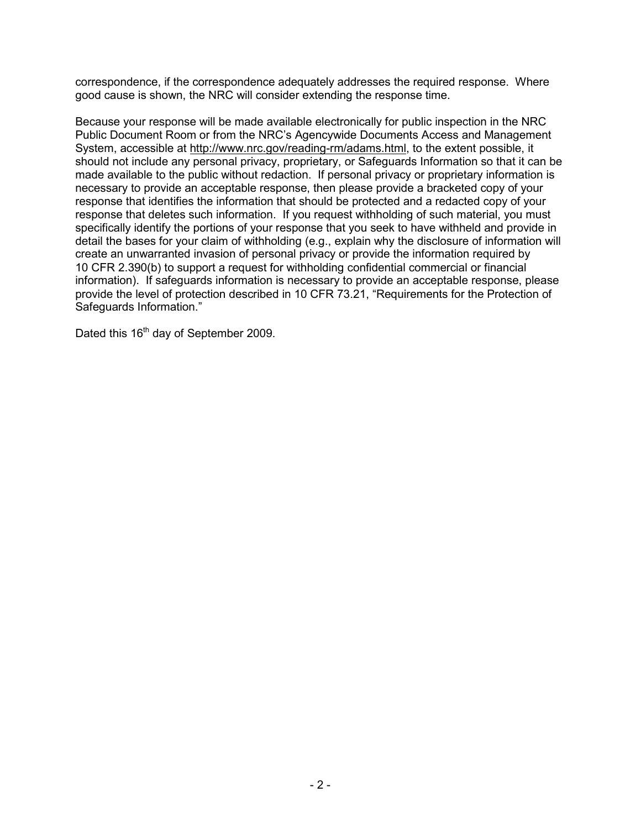correspondence, if the correspondence adequately addresses the required response. Where good cause is shown, the NRC will consider extending the response time.

Because your response will be made available electronically for public inspection in the NRC Public Document Room or from the NRC's Agencywide Documents Access and Management System, accessible at http://www.nrc.gov/reading-rm/adams.html, to the extent possible, it should not include any personal privacy, proprietary, or Safeguards Information so that it can be made available to the public without redaction. If personal privacy or proprietary information is necessary to provide an acceptable response, then please provide a bracketed copy of your response that identifies the information that should be protected and a redacted copy of your response that deletes such information. If you request withholding of such material, you must specifically identify the portions of your response that you seek to have withheld and provide in detail the bases for your claim of withholding (e.g., explain why the disclosure of information will create an unwarranted invasion of personal privacy or provide the information required by 10 CFR 2.390(b) to support a request for withholding confidential commercial or financial information). If safeguards information is necessary to provide an acceptable response, please provide the level of protection described in 10 CFR 73.21, "Requirements for the Protection of Safeguards Information."

Dated this 16<sup>th</sup> day of September 2009.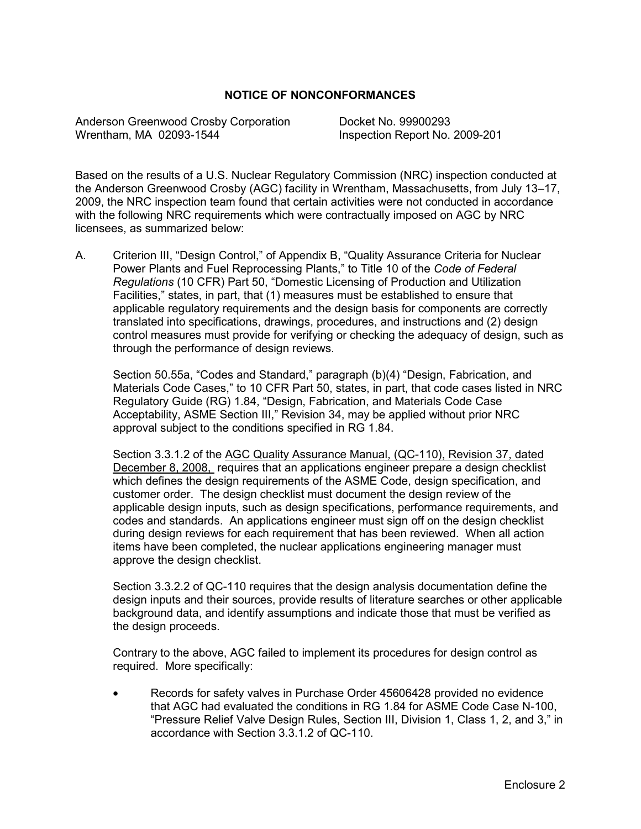#### **NOTICE OF NONCONFORMANCES**

Anderson Greenwood Crosby Corporation Docket No. 99900293 Wrentham, MA 02093-1544 Inspection Report No. 2009-201

Based on the results of a U.S. Nuclear Regulatory Commission (NRC) inspection conducted at the Anderson Greenwood Crosby (AGC) facility in Wrentham, Massachusetts, from July 13–17, 2009, the NRC inspection team found that certain activities were not conducted in accordance with the following NRC requirements which were contractually imposed on AGC by NRC licensees, as summarized below:

A. Criterion III, "Design Control," of Appendix B, "Quality Assurance Criteria for Nuclear Power Plants and Fuel Reprocessing Plants," to Title 10 of the *Code of Federal Regulations* (10 CFR) Part 50, "Domestic Licensing of Production and Utilization Facilities," states, in part, that (1) measures must be established to ensure that applicable regulatory requirements and the design basis for components are correctly translated into specifications, drawings, procedures, and instructions and (2) design control measures must provide for verifying or checking the adequacy of design, such as through the performance of design reviews.

Section 50.55a, "Codes and Standard," paragraph (b)(4) "Design, Fabrication, and Materials Code Cases," to 10 CFR Part 50, states, in part, that code cases listed in NRC Regulatory Guide (RG) 1.84, "Design, Fabrication, and Materials Code Case Acceptability, ASME Section III," Revision 34, may be applied without prior NRC approval subject to the conditions specified in RG 1.84.

Section 3.3.1.2 of the AGC Quality Assurance Manual, (QC-110), Revision 37, dated December 8, 2008, requires that an applications engineer prepare a design checklist which defines the design requirements of the ASME Code, design specification, and customer order. The design checklist must document the design review of the applicable design inputs, such as design specifications, performance requirements, and codes and standards. An applications engineer must sign off on the design checklist during design reviews for each requirement that has been reviewed. When all action items have been completed, the nuclear applications engineering manager must approve the design checklist.

Section 3.3.2.2 of QC-110 requires that the design analysis documentation define the design inputs and their sources, provide results of literature searches or other applicable background data, and identify assumptions and indicate those that must be verified as the design proceeds.

Contrary to the above, AGC failed to implement its procedures for design control as required. More specifically:

• Records for safety valves in Purchase Order 45606428 provided no evidence that AGC had evaluated the conditions in RG 1.84 for ASME Code Case N-100, "Pressure Relief Valve Design Rules, Section III, Division 1, Class 1, 2, and 3," in accordance with Section 3.3.1.2 of QC-110.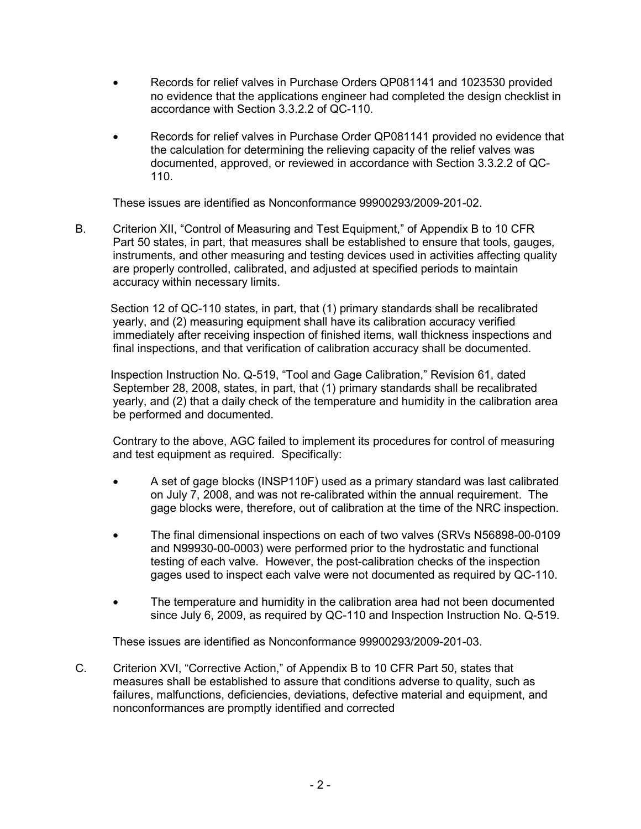- Records for relief valves in Purchase Orders QP081141 and 1023530 provided no evidence that the applications engineer had completed the design checklist in accordance with Section 3.3.2.2 of QC-110.
- Records for relief valves in Purchase Order QP081141 provided no evidence that the calculation for determining the relieving capacity of the relief valves was documented, approved, or reviewed in accordance with Section 3.3.2.2 of QC-110.

These issues are identified as Nonconformance 99900293/2009-201-02.

B. Criterion XII, "Control of Measuring and Test Equipment," of Appendix B to 10 CFR Part 50 states, in part, that measures shall be established to ensure that tools, gauges, instruments, and other measuring and testing devices used in activities affecting quality are properly controlled, calibrated, and adjusted at specified periods to maintain accuracy within necessary limits.

 Section 12 of QC-110 states, in part, that (1) primary standards shall be recalibrated yearly, and (2) measuring equipment shall have its calibration accuracy verified immediately after receiving inspection of finished items, wall thickness inspections and final inspections, and that verification of calibration accuracy shall be documented.

 Inspection Instruction No. Q-519, "Tool and Gage Calibration," Revision 61, dated September 28, 2008, states, in part, that (1) primary standards shall be recalibrated yearly, and (2) that a daily check of the temperature and humidity in the calibration area be performed and documented.

Contrary to the above, AGC failed to implement its procedures for control of measuring and test equipment as required. Specifically:

- A set of gage blocks (INSP110F) used as a primary standard was last calibrated on July 7, 2008, and was not re-calibrated within the annual requirement. The gage blocks were, therefore, out of calibration at the time of the NRC inspection.
- The final dimensional inspections on each of two valves (SRVs N56898-00-0109 and N99930-00-0003) were performed prior to the hydrostatic and functional testing of each valve. However, the post-calibration checks of the inspection gages used to inspect each valve were not documented as required by QC-110.
- The temperature and humidity in the calibration area had not been documented since July 6, 2009, as required by QC-110 and Inspection Instruction No. Q-519.

These issues are identified as Nonconformance 99900293/2009-201-03.

C. Criterion XVI, "Corrective Action," of Appendix B to 10 CFR Part 50, states that measures shall be established to assure that conditions adverse to quality, such as failures, malfunctions, deficiencies, deviations, defective material and equipment, and nonconformances are promptly identified and corrected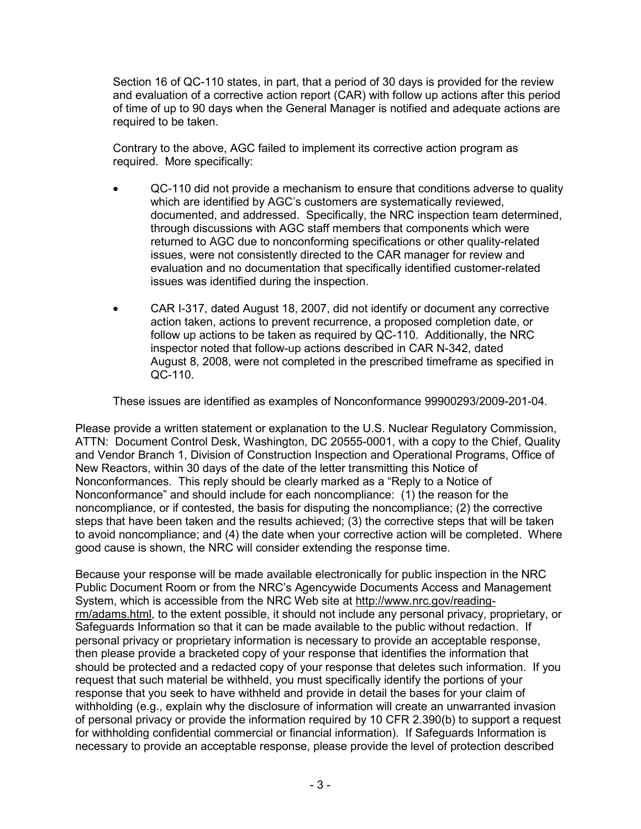Section 16 of QC-110 states, in part, that a period of 30 days is provided for the review and evaluation of a corrective action report (CAR) with follow up actions after this period of time of up to 90 days when the General Manager is notified and adequate actions are required to be taken.

Contrary to the above, AGC failed to implement its corrective action program as required. More specifically:

- QC-110 did not provide a mechanism to ensure that conditions adverse to quality which are identified by AGC's customers are systematically reviewed, documented, and addressed. Specifically, the NRC inspection team determined, through discussions with AGC staff members that components which were returned to AGC due to nonconforming specifications or other quality-related issues, were not consistently directed to the CAR manager for review and evaluation and no documentation that specifically identified customer-related issues was identified during the inspection.
- CAR I-317, dated August 18, 2007, did not identify or document any corrective action taken, actions to prevent recurrence, a proposed completion date, or follow up actions to be taken as required by QC-110. Additionally, the NRC inspector noted that follow-up actions described in CAR N-342, dated August 8, 2008, were not completed in the prescribed timeframe as specified in QC-110.

These issues are identified as examples of Nonconformance 99900293/2009-201-04.

Please provide a written statement or explanation to the U.S. Nuclear Regulatory Commission, ATTN: Document Control Desk, Washington, DC 20555-0001, with a copy to the Chief, Quality and Vendor Branch 1, Division of Construction Inspection and Operational Programs, Office of New Reactors, within 30 days of the date of the letter transmitting this Notice of Nonconformances. This reply should be clearly marked as a "Reply to a Notice of Nonconformance" and should include for each noncompliance: (1) the reason for the noncompliance, or if contested, the basis for disputing the noncompliance; (2) the corrective steps that have been taken and the results achieved; (3) the corrective steps that will be taken to avoid noncompliance; and (4) the date when your corrective action will be completed. Where good cause is shown, the NRC will consider extending the response time.

Because your response will be made available electronically for public inspection in the NRC Public Document Room or from the NRC's Agencywide Documents Access and Management System, which is accessible from the NRC Web site at http://www.nrc.gov/readingrm/adams.html, to the extent possible, it should not include any personal privacy, proprietary, or Safeguards Information so that it can be made available to the public without redaction. If personal privacy or proprietary information is necessary to provide an acceptable response, then please provide a bracketed copy of your response that identifies the information that should be protected and a redacted copy of your response that deletes such information. If you request that such material be withheld, you must specifically identify the portions of your response that you seek to have withheld and provide in detail the bases for your claim of withholding (e.g., explain why the disclosure of information will create an unwarranted invasion of personal privacy or provide the information required by 10 CFR 2.390(b) to support a request for withholding confidential commercial or financial information). If Safeguards Information is necessary to provide an acceptable response, please provide the level of protection described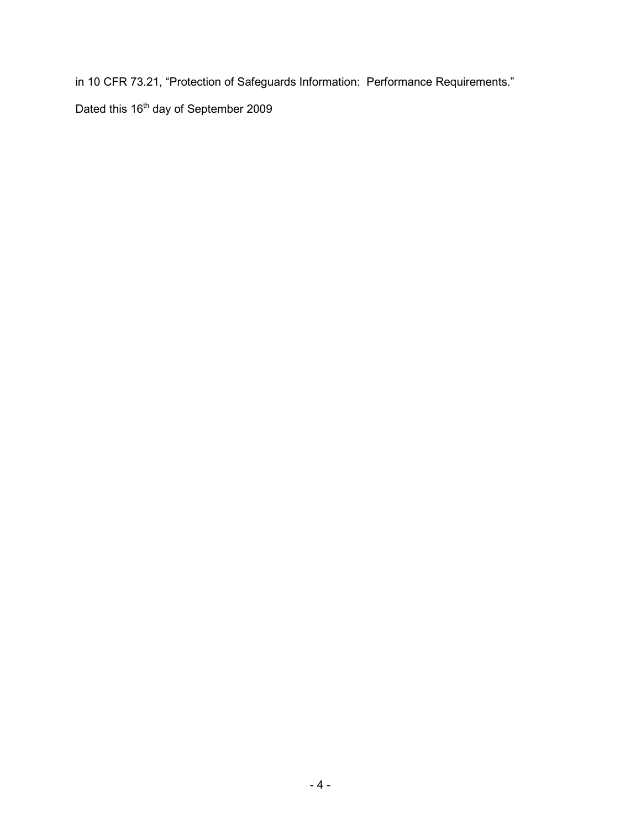in 10 CFR 73.21, "Protection of Safeguards Information: Performance Requirements."

Dated this 16<sup>th</sup> day of September 2009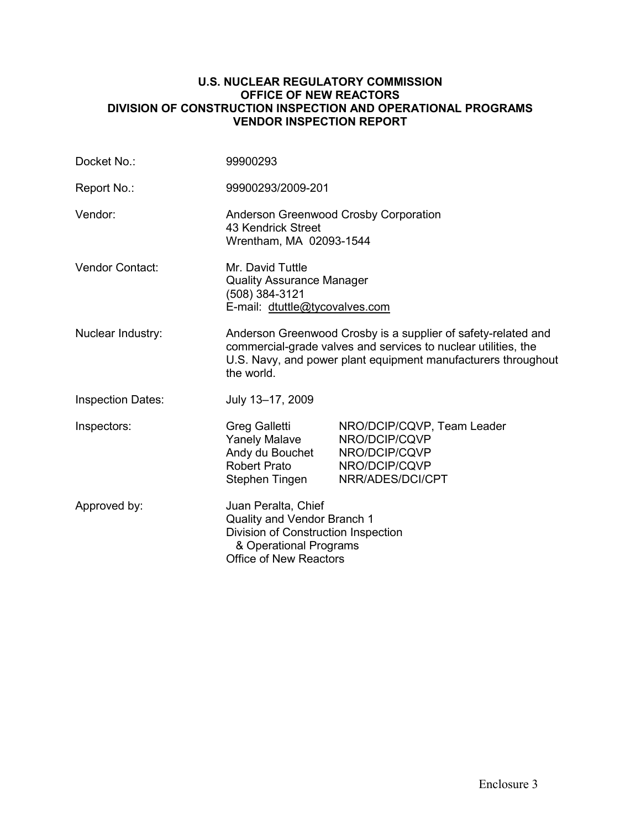#### **U.S. NUCLEAR REGULATORY COMMISSION OFFICE OF NEW REACTORS DIVISION OF CONSTRUCTION INSPECTION AND OPERATIONAL PROGRAMS VENDOR INSPECTION REPORT**

| Docket No.:              | 99900293                                                                                                                                                                                                       |                                                                                                   |
|--------------------------|----------------------------------------------------------------------------------------------------------------------------------------------------------------------------------------------------------------|---------------------------------------------------------------------------------------------------|
| Report No.:              | 99900293/2009-201                                                                                                                                                                                              |                                                                                                   |
| Vendor:                  | Anderson Greenwood Crosby Corporation<br>43 Kendrick Street<br>Wrentham, MA 02093-1544                                                                                                                         |                                                                                                   |
| Vendor Contact:          | Mr. David Tuttle<br><b>Quality Assurance Manager</b><br>(508) 384-3121<br>E-mail: dtuttle@tycovalves.com                                                                                                       |                                                                                                   |
| Nuclear Industry:        | Anderson Greenwood Crosby is a supplier of safety-related and<br>commercial-grade valves and services to nuclear utilities, the<br>U.S. Navy, and power plant equipment manufacturers throughout<br>the world. |                                                                                                   |
| <b>Inspection Dates:</b> | July 13-17, 2009                                                                                                                                                                                               |                                                                                                   |
| Inspectors:              | Greg Galletti<br><b>Yanely Malave</b><br>Andy du Bouchet<br><b>Robert Prato</b><br>Stephen Tingen                                                                                                              | NRO/DCIP/CQVP, Team Leader<br>NRO/DCIP/CQVP<br>NRO/DCIP/CQVP<br>NRO/DCIP/CQVP<br>NRR/ADES/DCI/CPT |
| Approved by:             | Juan Peralta, Chief<br>Quality and Vendor Branch 1<br>Division of Construction Inspection<br>& Operational Programs<br><b>Office of New Reactors</b>                                                           |                                                                                                   |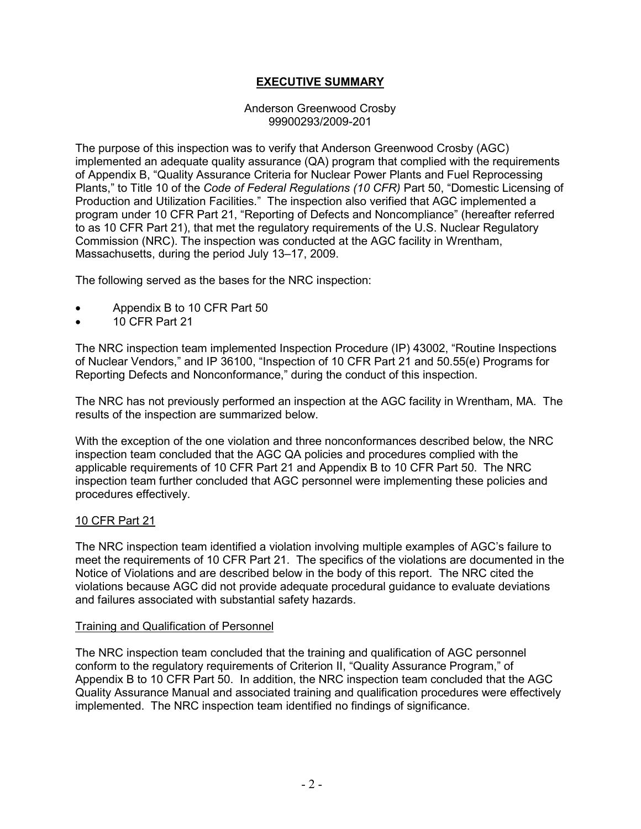## **EXECUTIVE SUMMARY**

#### Anderson Greenwood Crosby 99900293/2009-201

The purpose of this inspection was to verify that Anderson Greenwood Crosby (AGC) implemented an adequate quality assurance (QA) program that complied with the requirements of Appendix B, "Quality Assurance Criteria for Nuclear Power Plants and Fuel Reprocessing Plants," to Title 10 of the *Code of Federal Regulations (10 CFR)* Part 50, "Domestic Licensing of Production and Utilization Facilities." The inspection also verified that AGC implemented a program under 10 CFR Part 21, "Reporting of Defects and Noncompliance" (hereafter referred to as 10 CFR Part 21), that met the regulatory requirements of the U.S. Nuclear Regulatory Commission (NRC). The inspection was conducted at the AGC facility in Wrentham, Massachusetts, during the period July 13–17, 2009.

The following served as the bases for the NRC inspection:

- Appendix B to 10 CFR Part 50
- 10 CFR Part 21

The NRC inspection team implemented Inspection Procedure (IP) 43002, "Routine Inspections of Nuclear Vendors," and IP 36100, "Inspection of 10 CFR Part 21 and 50.55(e) Programs for Reporting Defects and Nonconformance," during the conduct of this inspection.

The NRC has not previously performed an inspection at the AGC facility in Wrentham, MA. The results of the inspection are summarized below.

With the exception of the one violation and three nonconformances described below, the NRC inspection team concluded that the AGC QA policies and procedures complied with the applicable requirements of 10 CFR Part 21 and Appendix B to 10 CFR Part 50. The NRC inspection team further concluded that AGC personnel were implementing these policies and procedures effectively.

#### 10 CFR Part 21

The NRC inspection team identified a violation involving multiple examples of AGC's failure to meet the requirements of 10 CFR Part 21. The specifics of the violations are documented in the Notice of Violations and are described below in the body of this report. The NRC cited the violations because AGC did not provide adequate procedural guidance to evaluate deviations and failures associated with substantial safety hazards.

#### Training and Qualification of Personnel

The NRC inspection team concluded that the training and qualification of AGC personnel conform to the regulatory requirements of Criterion II, "Quality Assurance Program," of Appendix B to 10 CFR Part 50. In addition, the NRC inspection team concluded that the AGC Quality Assurance Manual and associated training and qualification procedures were effectively implemented. The NRC inspection team identified no findings of significance.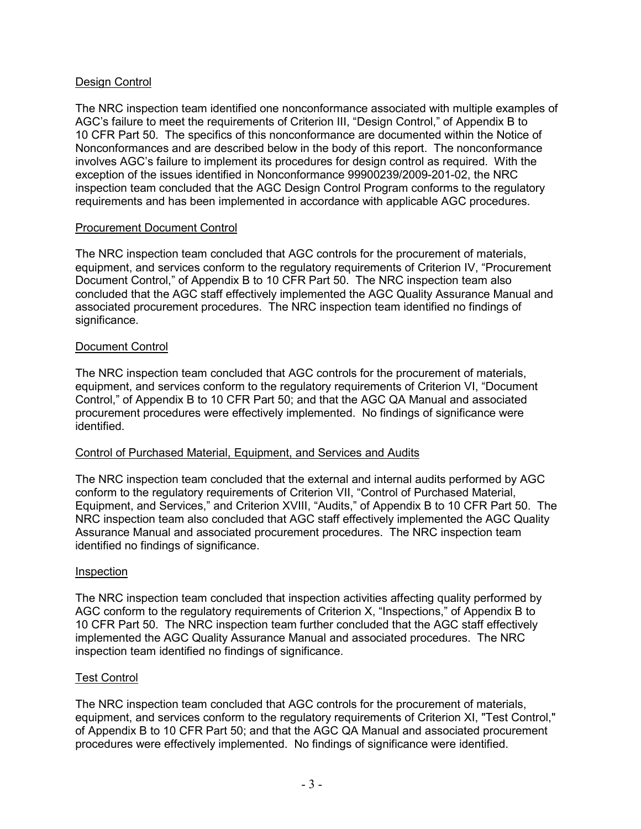### Design Control

The NRC inspection team identified one nonconformance associated with multiple examples of AGC's failure to meet the requirements of Criterion III, "Design Control," of Appendix B to 10 CFR Part 50. The specifics of this nonconformance are documented within the Notice of Nonconformances and are described below in the body of this report. The nonconformance involves AGC's failure to implement its procedures for design control as required. With the exception of the issues identified in Nonconformance 99900239/2009-201-02, the NRC inspection team concluded that the AGC Design Control Program conforms to the regulatory requirements and has been implemented in accordance with applicable AGC procedures.

#### Procurement Document Control

The NRC inspection team concluded that AGC controls for the procurement of materials, equipment, and services conform to the regulatory requirements of Criterion IV, "Procurement Document Control," of Appendix B to 10 CFR Part 50. The NRC inspection team also concluded that the AGC staff effectively implemented the AGC Quality Assurance Manual and associated procurement procedures. The NRC inspection team identified no findings of significance.

#### Document Control

The NRC inspection team concluded that AGC controls for the procurement of materials, equipment, and services conform to the regulatory requirements of Criterion VI, "Document Control," of Appendix B to 10 CFR Part 50; and that the AGC QA Manual and associated procurement procedures were effectively implemented. No findings of significance were identified.

#### Control of Purchased Material, Equipment, and Services and Audits

The NRC inspection team concluded that the external and internal audits performed by AGC conform to the regulatory requirements of Criterion VII, "Control of Purchased Material, Equipment, and Services," and Criterion XVIII, "Audits," of Appendix B to 10 CFR Part 50. The NRC inspection team also concluded that AGC staff effectively implemented the AGC Quality Assurance Manual and associated procurement procedures. The NRC inspection team identified no findings of significance.

#### Inspection

The NRC inspection team concluded that inspection activities affecting quality performed by AGC conform to the regulatory requirements of Criterion X, "Inspections," of Appendix B to 10 CFR Part 50. The NRC inspection team further concluded that the AGC staff effectively implemented the AGC Quality Assurance Manual and associated procedures. The NRC inspection team identified no findings of significance.

#### Test Control

The NRC inspection team concluded that AGC controls for the procurement of materials, equipment, and services conform to the regulatory requirements of Criterion XI, "Test Control," of Appendix B to 10 CFR Part 50; and that the AGC QA Manual and associated procurement procedures were effectively implemented. No findings of significance were identified.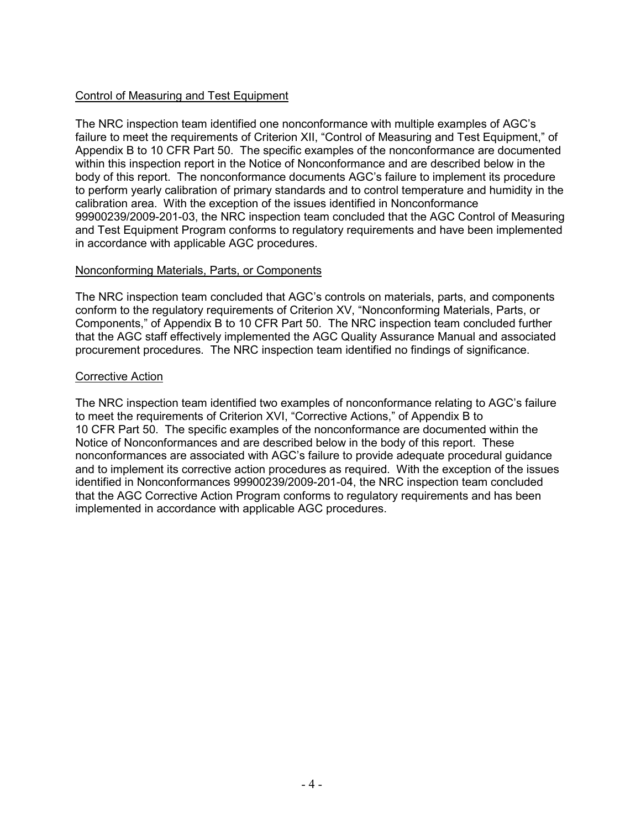### Control of Measuring and Test Equipment

The NRC inspection team identified one nonconformance with multiple examples of AGC's failure to meet the requirements of Criterion XII, "Control of Measuring and Test Equipment," of Appendix B to 10 CFR Part 50. The specific examples of the nonconformance are documented within this inspection report in the Notice of Nonconformance and are described below in the body of this report. The nonconformance documents AGC's failure to implement its procedure to perform yearly calibration of primary standards and to control temperature and humidity in the calibration area. With the exception of the issues identified in Nonconformance 99900239/2009-201-03, the NRC inspection team concluded that the AGC Control of Measuring and Test Equipment Program conforms to regulatory requirements and have been implemented in accordance with applicable AGC procedures.

#### Nonconforming Materials, Parts, or Components

The NRC inspection team concluded that AGC's controls on materials, parts, and components conform to the regulatory requirements of Criterion XV, "Nonconforming Materials, Parts, or Components," of Appendix B to 10 CFR Part 50. The NRC inspection team concluded further that the AGC staff effectively implemented the AGC Quality Assurance Manual and associated procurement procedures. The NRC inspection team identified no findings of significance.

#### Corrective Action

The NRC inspection team identified two examples of nonconformance relating to AGC's failure to meet the requirements of Criterion XVI, "Corrective Actions," of Appendix B to 10 CFR Part 50. The specific examples of the nonconformance are documented within the Notice of Nonconformances and are described below in the body of this report. These nonconformances are associated with AGC's failure to provide adequate procedural guidance and to implement its corrective action procedures as required. With the exception of the issues identified in Nonconformances 99900239/2009-201-04, the NRC inspection team concluded that the AGC Corrective Action Program conforms to regulatory requirements and has been implemented in accordance with applicable AGC procedures.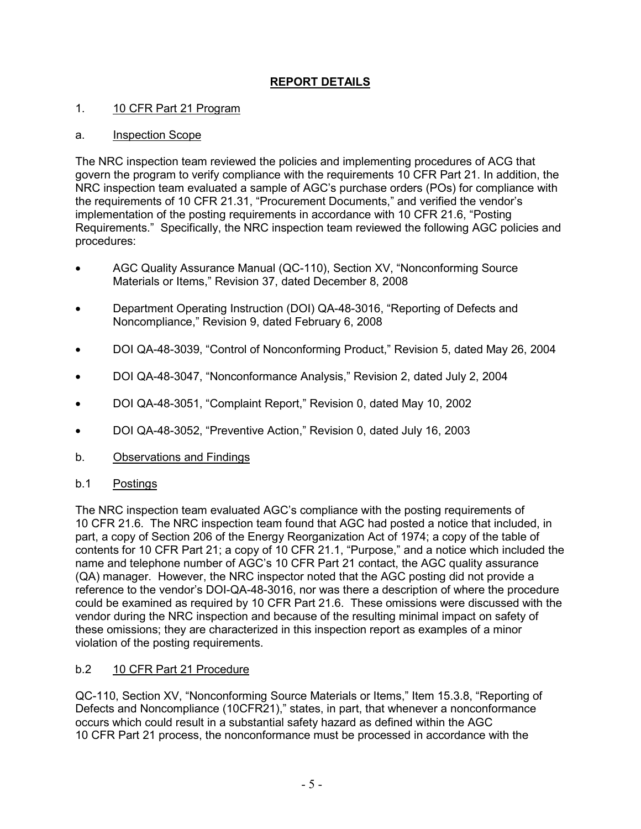# **REPORT DETAILS**

### 1. 10 CFR Part 21 Program

### a. Inspection Scope

The NRC inspection team reviewed the policies and implementing procedures of ACG that govern the program to verify compliance with the requirements 10 CFR Part 21. In addition, the NRC inspection team evaluated a sample of AGC's purchase orders (POs) for compliance with the requirements of 10 CFR 21.31, "Procurement Documents," and verified the vendor's implementation of the posting requirements in accordance with 10 CFR 21.6, "Posting Requirements." Specifically, the NRC inspection team reviewed the following AGC policies and procedures:

- AGC Quality Assurance Manual (QC-110), Section XV, "Nonconforming Source Materials or Items," Revision 37, dated December 8, 2008
- Department Operating Instruction (DOI) QA-48-3016, "Reporting of Defects and Noncompliance," Revision 9, dated February 6, 2008
- DOI QA-48-3039, "Control of Nonconforming Product," Revision 5, dated May 26, 2004
- DOI QA-48-3047, "Nonconformance Analysis," Revision 2, dated July 2, 2004
- DOI QA-48-3051, "Complaint Report," Revision 0, dated May 10, 2002
- DOI QA-48-3052, "Preventive Action," Revision 0, dated July 16, 2003
- b. Observations and Findings
- b.1 Postings

The NRC inspection team evaluated AGC's compliance with the posting requirements of 10 CFR 21.6. The NRC inspection team found that AGC had posted a notice that included, in part, a copy of Section 206 of the Energy Reorganization Act of 1974; a copy of the table of contents for 10 CFR Part 21; a copy of 10 CFR 21.1, "Purpose," and a notice which included the name and telephone number of AGC's 10 CFR Part 21 contact, the AGC quality assurance (QA) manager. However, the NRC inspector noted that the AGC posting did not provide a reference to the vendor's DOI-QA-48-3016, nor was there a description of where the procedure could be examined as required by 10 CFR Part 21.6. These omissions were discussed with the vendor during the NRC inspection and because of the resulting minimal impact on safety of these omissions; they are characterized in this inspection report as examples of a minor violation of the posting requirements.

#### b.2 10 CFR Part 21 Procedure

QC-110, Section XV, "Nonconforming Source Materials or Items," Item 15.3.8, "Reporting of Defects and Noncompliance (10CFR21)," states, in part, that whenever a nonconformance occurs which could result in a substantial safety hazard as defined within the AGC 10 CFR Part 21 process, the nonconformance must be processed in accordance with the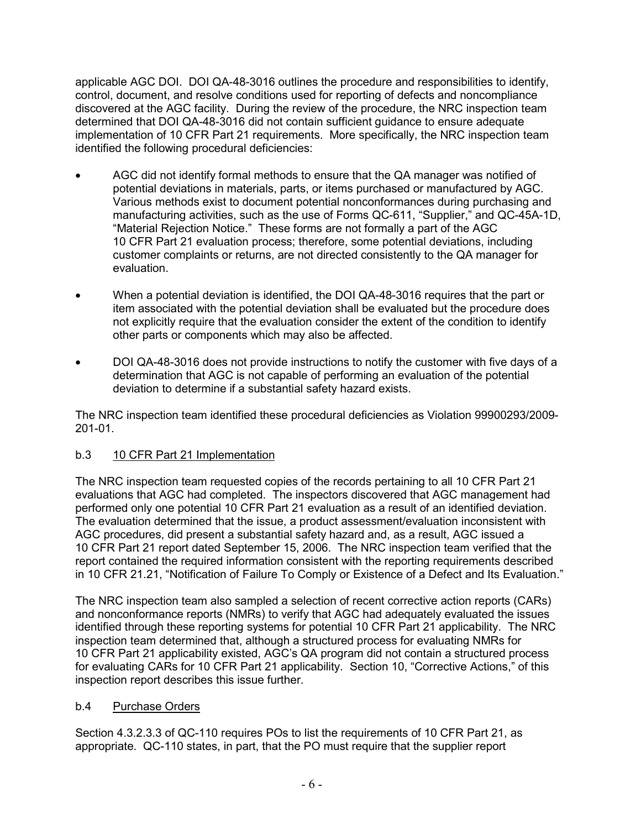applicable AGC DOI. DOI QA-48-3016 outlines the procedure and responsibilities to identify, control, document, and resolve conditions used for reporting of defects and noncompliance discovered at the AGC facility. During the review of the procedure, the NRC inspection team determined that DOI QA-48-3016 did not contain sufficient guidance to ensure adequate implementation of 10 CFR Part 21 requirements. More specifically, the NRC inspection team identified the following procedural deficiencies:

- AGC did not identify formal methods to ensure that the QA manager was notified of potential deviations in materials, parts, or items purchased or manufactured by AGC. Various methods exist to document potential nonconformances during purchasing and manufacturing activities, such as the use of Forms QC-611, "Supplier," and QC-45A-1D, "Material Rejection Notice." These forms are not formally a part of the AGC 10 CFR Part 21 evaluation process; therefore, some potential deviations, including customer complaints or returns, are not directed consistently to the QA manager for evaluation.
- When a potential deviation is identified, the DOI QA-48-3016 requires that the part or item associated with the potential deviation shall be evaluated but the procedure does not explicitly require that the evaluation consider the extent of the condition to identify other parts or components which may also be affected.
- DOI QA-48-3016 does not provide instructions to notify the customer with five days of a determination that AGC is not capable of performing an evaluation of the potential deviation to determine if a substantial safety hazard exists.

The NRC inspection team identified these procedural deficiencies as Violation 99900293/2009- 201-01.

## b.3 10 CFR Part 21 Implementation

The NRC inspection team requested copies of the records pertaining to all 10 CFR Part 21 evaluations that AGC had completed. The inspectors discovered that AGC management had performed only one potential 10 CFR Part 21 evaluation as a result of an identified deviation. The evaluation determined that the issue, a product assessment/evaluation inconsistent with AGC procedures, did present a substantial safety hazard and, as a result, AGC issued a 10 CFR Part 21 report dated September 15, 2006. The NRC inspection team verified that the report contained the required information consistent with the reporting requirements described in 10 CFR 21.21, "Notification of Failure To Comply or Existence of a Defect and Its Evaluation."

The NRC inspection team also sampled a selection of recent corrective action reports (CARs) and nonconformance reports (NMRs) to verify that AGC had adequately evaluated the issues identified through these reporting systems for potential 10 CFR Part 21 applicability. The NRC inspection team determined that, although a structured process for evaluating NMRs for 10 CFR Part 21 applicability existed, AGC's QA program did not contain a structured process for evaluating CARs for 10 CFR Part 21 applicability. Section 10, "Corrective Actions," of this inspection report describes this issue further.

#### b.4 Purchase Orders

Section 4.3.2.3.3 of QC-110 requires POs to list the requirements of 10 CFR Part 21, as appropriate. QC-110 states, in part, that the PO must require that the supplier report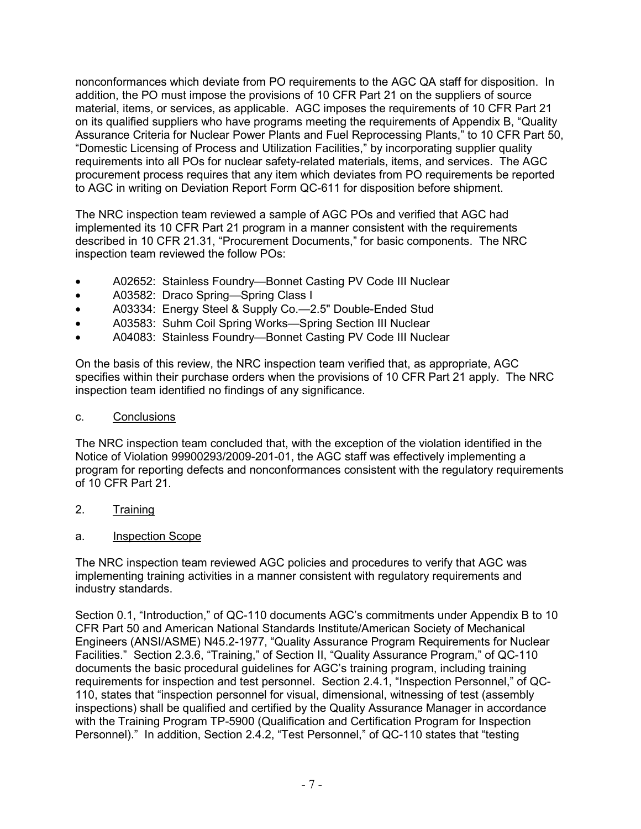nonconformances which deviate from PO requirements to the AGC QA staff for disposition. In addition, the PO must impose the provisions of 10 CFR Part 21 on the suppliers of source material, items, or services, as applicable. AGC imposes the requirements of 10 CFR Part 21 on its qualified suppliers who have programs meeting the requirements of Appendix B, "Quality Assurance Criteria for Nuclear Power Plants and Fuel Reprocessing Plants," to 10 CFR Part 50, "Domestic Licensing of Process and Utilization Facilities," by incorporating supplier quality requirements into all POs for nuclear safety-related materials, items, and services. The AGC procurement process requires that any item which deviates from PO requirements be reported to AGC in writing on Deviation Report Form QC-611 for disposition before shipment.

The NRC inspection team reviewed a sample of AGC POs and verified that AGC had implemented its 10 CFR Part 21 program in a manner consistent with the requirements described in 10 CFR 21.31, "Procurement Documents," for basic components. The NRC inspection team reviewed the follow POs:

- A02652: Stainless Foundry—Bonnet Casting PV Code III Nuclear
- A03582: Draco Spring—Spring Class I
- A03334: Energy Steel & Supply Co.—2.5" Double-Ended Stud
- A03583: Suhm Coil Spring Works—Spring Section III Nuclear
- A04083: Stainless Foundry—Bonnet Casting PV Code III Nuclear

On the basis of this review, the NRC inspection team verified that, as appropriate, AGC specifies within their purchase orders when the provisions of 10 CFR Part 21 apply. The NRC inspection team identified no findings of any significance.

### c. Conclusions

The NRC inspection team concluded that, with the exception of the violation identified in the Notice of Violation 99900293/2009-201-01, the AGC staff was effectively implementing a program for reporting defects and nonconformances consistent with the regulatory requirements of 10 CFR Part 21.

- 2. Training
- a. Inspection Scope

The NRC inspection team reviewed AGC policies and procedures to verify that AGC was implementing training activities in a manner consistent with regulatory requirements and industry standards.

Section 0.1, "Introduction," of QC-110 documents AGC's commitments under Appendix B to 10 CFR Part 50 and American National Standards Institute/American Society of Mechanical Engineers (ANSI/ASME) N45.2-1977, "Quality Assurance Program Requirements for Nuclear Facilities." Section 2.3.6, "Training," of Section II, "Quality Assurance Program," of QC-110 documents the basic procedural guidelines for AGC's training program, including training requirements for inspection and test personnel. Section 2.4.1, "Inspection Personnel," of QC-110, states that "inspection personnel for visual, dimensional, witnessing of test (assembly inspections) shall be qualified and certified by the Quality Assurance Manager in accordance with the Training Program TP-5900 (Qualification and Certification Program for Inspection Personnel)." In addition, Section 2.4.2, "Test Personnel," of QC-110 states that "testing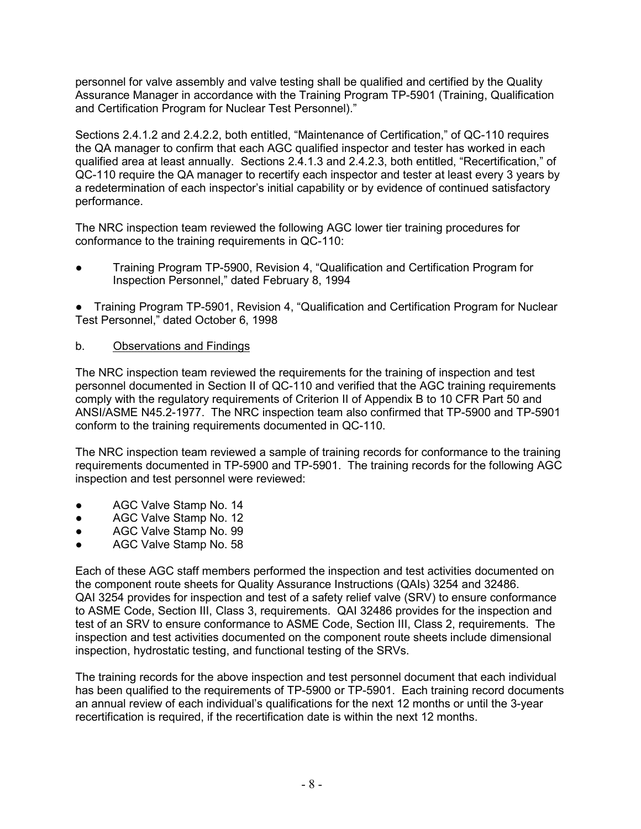personnel for valve assembly and valve testing shall be qualified and certified by the Quality Assurance Manager in accordance with the Training Program TP-5901 (Training, Qualification and Certification Program for Nuclear Test Personnel)."

Sections 2.4.1.2 and 2.4.2.2, both entitled, "Maintenance of Certification," of QC-110 requires the QA manager to confirm that each AGC qualified inspector and tester has worked in each qualified area at least annually. Sections 2.4.1.3 and 2.4.2.3, both entitled, "Recertification," of QC-110 require the QA manager to recertify each inspector and tester at least every 3 years by a redetermination of each inspector's initial capability or by evidence of continued satisfactory performance.

The NRC inspection team reviewed the following AGC lower tier training procedures for conformance to the training requirements in QC-110:

● Training Program TP-5900, Revision 4, "Qualification and Certification Program for Inspection Personnel," dated February 8, 1994

● Training Program TP-5901, Revision 4, "Qualification and Certification Program for Nuclear Test Personnel," dated October 6, 1998

#### b. Observations and Findings

The NRC inspection team reviewed the requirements for the training of inspection and test personnel documented in Section II of QC-110 and verified that the AGC training requirements comply with the regulatory requirements of Criterion II of Appendix B to 10 CFR Part 50 and ANSI/ASME N45.2-1977. The NRC inspection team also confirmed that TP-5900 and TP-5901 conform to the training requirements documented in QC-110.

The NRC inspection team reviewed a sample of training records for conformance to the training requirements documented in TP-5900 and TP-5901. The training records for the following AGC inspection and test personnel were reviewed:

- AGC Valve Stamp No. 14
- AGC Valve Stamp No. 12
- AGC Valve Stamp No. 99
- AGC Valve Stamp No. 58

Each of these AGC staff members performed the inspection and test activities documented on the component route sheets for Quality Assurance Instructions (QAIs) 3254 and 32486. QAI 3254 provides for inspection and test of a safety relief valve (SRV) to ensure conformance to ASME Code, Section III, Class 3, requirements. QAI 32486 provides for the inspection and test of an SRV to ensure conformance to ASME Code, Section III, Class 2, requirements. The inspection and test activities documented on the component route sheets include dimensional inspection, hydrostatic testing, and functional testing of the SRVs.

The training records for the above inspection and test personnel document that each individual has been qualified to the requirements of TP-5900 or TP-5901. Each training record documents an annual review of each individual's qualifications for the next 12 months or until the 3-year recertification is required, if the recertification date is within the next 12 months.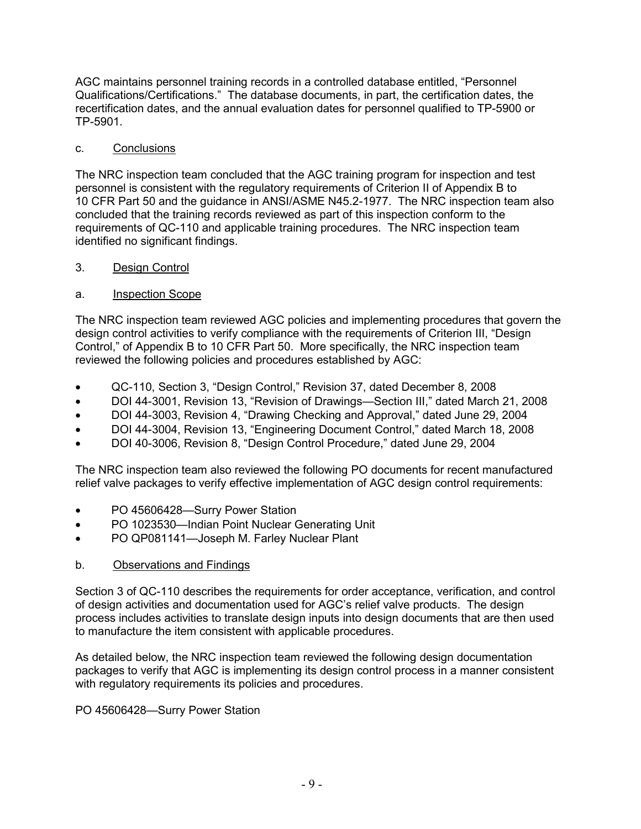AGC maintains personnel training records in a controlled database entitled, "Personnel Qualifications/Certifications." The database documents, in part, the certification dates, the recertification dates, and the annual evaluation dates for personnel qualified to TP-5900 or TP-5901.

### c. Conclusions

The NRC inspection team concluded that the AGC training program for inspection and test personnel is consistent with the regulatory requirements of Criterion II of Appendix B to 10 CFR Part 50 and the guidance in ANSI/ASME N45.2-1977. The NRC inspection team also concluded that the training records reviewed as part of this inspection conform to the requirements of QC-110 and applicable training procedures. The NRC inspection team identified no significant findings.

### 3. Design Control

### a. Inspection Scope

The NRC inspection team reviewed AGC policies and implementing procedures that govern the design control activities to verify compliance with the requirements of Criterion III, "Design Control," of Appendix B to 10 CFR Part 50. More specifically, the NRC inspection team reviewed the following policies and procedures established by AGC:

- QC-110, Section 3, "Design Control," Revision 37, dated December 8, 2008
- DOI 44-3001, Revision 13, "Revision of Drawings—Section III," dated March 21, 2008
- DOI 44-3003, Revision 4, "Drawing Checking and Approval," dated June 29, 2004
- DOI 44-3004, Revision 13, "Engineering Document Control," dated March 18, 2008
- DOI 40-3006, Revision 8, "Design Control Procedure," dated June 29, 2004

The NRC inspection team also reviewed the following PO documents for recent manufactured relief valve packages to verify effective implementation of AGC design control requirements:

- PO 45606428—Surry Power Station
- PO 1023530—Indian Point Nuclear Generating Unit
- PO QP081141—Joseph M. Farley Nuclear Plant

## b. Observations and Findings

Section 3 of QC-110 describes the requirements for order acceptance, verification, and control of design activities and documentation used for AGC's relief valve products. The design process includes activities to translate design inputs into design documents that are then used to manufacture the item consistent with applicable procedures.

As detailed below, the NRC inspection team reviewed the following design documentation packages to verify that AGC is implementing its design control process in a manner consistent with regulatory requirements its policies and procedures.

## PO 45606428—Surry Power Station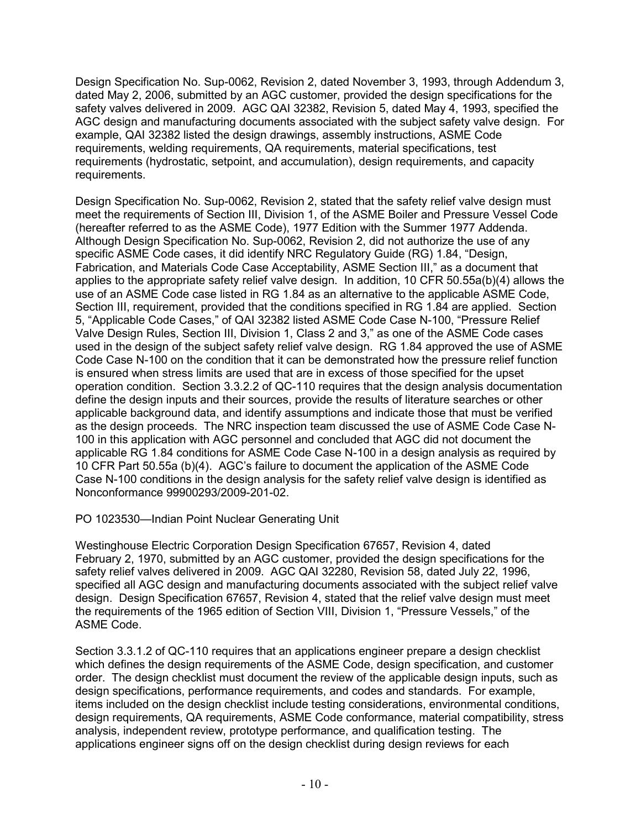Design Specification No. Sup-0062, Revision 2, dated November 3, 1993, through Addendum 3, dated May 2, 2006, submitted by an AGC customer, provided the design specifications for the safety valves delivered in 2009. AGC QAI 32382, Revision 5, dated May 4, 1993, specified the AGC design and manufacturing documents associated with the subject safety valve design. For example, QAI 32382 listed the design drawings, assembly instructions, ASME Code requirements, welding requirements, QA requirements, material specifications, test requirements (hydrostatic, setpoint, and accumulation), design requirements, and capacity requirements.

Design Specification No. Sup-0062, Revision 2, stated that the safety relief valve design must meet the requirements of Section III, Division 1, of the ASME Boiler and Pressure Vessel Code (hereafter referred to as the ASME Code), 1977 Edition with the Summer 1977 Addenda. Although Design Specification No. Sup-0062, Revision 2, did not authorize the use of any specific ASME Code cases, it did identify NRC Regulatory Guide (RG) 1.84, "Design, Fabrication, and Materials Code Case Acceptability, ASME Section III," as a document that applies to the appropriate safety relief valve design. In addition, 10 CFR 50.55a(b)(4) allows the use of an ASME Code case listed in RG 1.84 as an alternative to the applicable ASME Code, Section III, requirement, provided that the conditions specified in RG 1.84 are applied. Section 5, "Applicable Code Cases," of QAI 32382 listed ASME Code Case N-100, "Pressure Relief Valve Design Rules, Section III, Division 1, Class 2 and 3," as one of the ASME Code cases used in the design of the subject safety relief valve design. RG 1.84 approved the use of ASME Code Case N-100 on the condition that it can be demonstrated how the pressure relief function is ensured when stress limits are used that are in excess of those specified for the upset operation condition. Section 3.3.2.2 of QC-110 requires that the design analysis documentation define the design inputs and their sources, provide the results of literature searches or other applicable background data, and identify assumptions and indicate those that must be verified as the design proceeds. The NRC inspection team discussed the use of ASME Code Case N-100 in this application with AGC personnel and concluded that AGC did not document the applicable RG 1.84 conditions for ASME Code Case N-100 in a design analysis as required by 10 CFR Part 50.55a (b)(4). AGC's failure to document the application of the ASME Code Case N-100 conditions in the design analysis for the safety relief valve design is identified as Nonconformance 99900293/2009-201-02.

PO 1023530—Indian Point Nuclear Generating Unit

Westinghouse Electric Corporation Design Specification 67657, Revision 4, dated February 2, 1970, submitted by an AGC customer, provided the design specifications for the safety relief valves delivered in 2009. AGC QAI 32280, Revision 58, dated July 22, 1996, specified all AGC design and manufacturing documents associated with the subject relief valve design. Design Specification 67657, Revision 4, stated that the relief valve design must meet the requirements of the 1965 edition of Section VIII, Division 1, "Pressure Vessels," of the ASME Code.

Section 3.3.1.2 of QC-110 requires that an applications engineer prepare a design checklist which defines the design requirements of the ASME Code, design specification, and customer order. The design checklist must document the review of the applicable design inputs, such as design specifications, performance requirements, and codes and standards. For example, items included on the design checklist include testing considerations, environmental conditions, design requirements, QA requirements, ASME Code conformance, material compatibility, stress analysis, independent review, prototype performance, and qualification testing. The applications engineer signs off on the design checklist during design reviews for each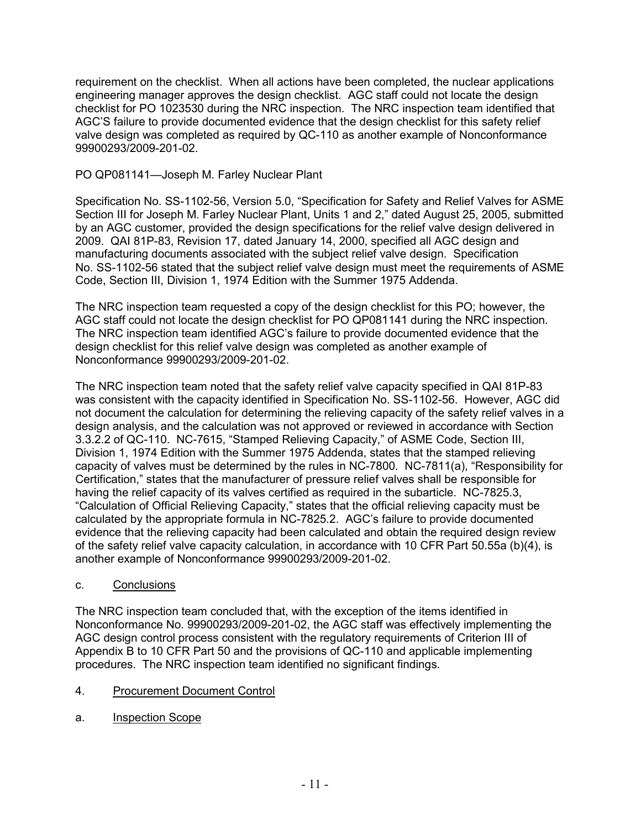requirement on the checklist. When all actions have been completed, the nuclear applications engineering manager approves the design checklist. AGC staff could not locate the design checklist for PO 1023530 during the NRC inspection. The NRC inspection team identified that AGC'S failure to provide documented evidence that the design checklist for this safety relief valve design was completed as required by QC-110 as another example of Nonconformance 99900293/2009-201-02.

### PO QP081141—Joseph M. Farley Nuclear Plant

Specification No. SS-1102-56, Version 5.0, "Specification for Safety and Relief Valves for ASME Section III for Joseph M. Farley Nuclear Plant, Units 1 and 2," dated August 25, 2005, submitted by an AGC customer, provided the design specifications for the relief valve design delivered in 2009. QAI 81P-83, Revision 17, dated January 14, 2000, specified all AGC design and manufacturing documents associated with the subject relief valve design. Specification No. SS-1102-56 stated that the subject relief valve design must meet the requirements of ASME Code, Section III, Division 1, 1974 Edition with the Summer 1975 Addenda.

The NRC inspection team requested a copy of the design checklist for this PO; however, the AGC staff could not locate the design checklist for PO QP081141 during the NRC inspection. The NRC inspection team identified AGC's failure to provide documented evidence that the design checklist for this relief valve design was completed as another example of Nonconformance 99900293/2009-201-02.

The NRC inspection team noted that the safety relief valve capacity specified in QAI 81P-83 was consistent with the capacity identified in Specification No. SS-1102-56. However, AGC did not document the calculation for determining the relieving capacity of the safety relief valves in a design analysis, and the calculation was not approved or reviewed in accordance with Section 3.3.2.2 of QC-110. NC-7615, "Stamped Relieving Capacity," of ASME Code, Section III, Division 1, 1974 Edition with the Summer 1975 Addenda, states that the stamped relieving capacity of valves must be determined by the rules in NC-7800. NC-7811(a), "Responsibility for Certification," states that the manufacturer of pressure relief valves shall be responsible for having the relief capacity of its valves certified as required in the subarticle. NC-7825.3, "Calculation of Official Relieving Capacity," states that the official relieving capacity must be calculated by the appropriate formula in NC-7825.2. AGC's failure to provide documented evidence that the relieving capacity had been calculated and obtain the required design review of the safety relief valve capacity calculation, in accordance with 10 CFR Part 50.55a (b)(4), is another example of Nonconformance 99900293/2009-201-02.

#### c. Conclusions

The NRC inspection team concluded that, with the exception of the items identified in Nonconformance No. 99900293/2009-201-02, the AGC staff was effectively implementing the AGC design control process consistent with the regulatory requirements of Criterion III of Appendix B to 10 CFR Part 50 and the provisions of QC-110 and applicable implementing procedures. The NRC inspection team identified no significant findings.

#### 4. Procurement Document Control

a. Inspection Scope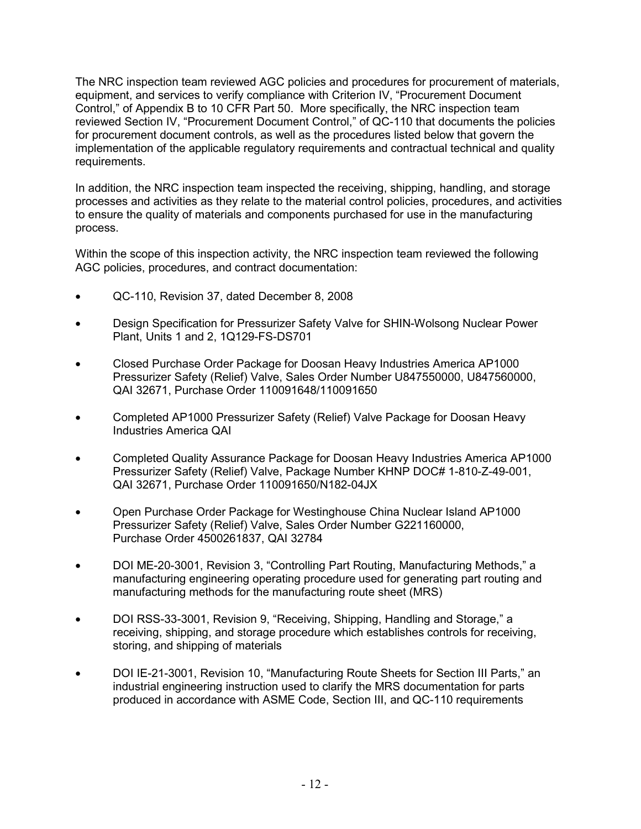The NRC inspection team reviewed AGC policies and procedures for procurement of materials, equipment, and services to verify compliance with Criterion IV, "Procurement Document Control," of Appendix B to 10 CFR Part 50. More specifically, the NRC inspection team reviewed Section IV, "Procurement Document Control," of QC-110 that documents the policies for procurement document controls, as well as the procedures listed below that govern the implementation of the applicable regulatory requirements and contractual technical and quality requirements.

In addition, the NRC inspection team inspected the receiving, shipping, handling, and storage processes and activities as they relate to the material control policies, procedures, and activities to ensure the quality of materials and components purchased for use in the manufacturing process.

Within the scope of this inspection activity, the NRC inspection team reviewed the following AGC policies, procedures, and contract documentation:

- QC-110, Revision 37, dated December 8, 2008
- Design Specification for Pressurizer Safety Valve for SHIN-Wolsong Nuclear Power Plant, Units 1 and 2, 1Q129-FS-DS701
- Closed Purchase Order Package for Doosan Heavy Industries America AP1000 Pressurizer Safety (Relief) Valve, Sales Order Number U847550000, U847560000, QAI 32671, Purchase Order 110091648/110091650
- Completed AP1000 Pressurizer Safety (Relief) Valve Package for Doosan Heavy Industries America QAI
- Completed Quality Assurance Package for Doosan Heavy Industries America AP1000 Pressurizer Safety (Relief) Valve, Package Number KHNP DOC# 1-810-Z-49-001, QAI 32671, Purchase Order 110091650/N182-04JX
- Open Purchase Order Package for Westinghouse China Nuclear Island AP1000 Pressurizer Safety (Relief) Valve, Sales Order Number G221160000, Purchase Order 4500261837, QAI 32784
- DOI ME-20-3001, Revision 3, "Controlling Part Routing, Manufacturing Methods," a manufacturing engineering operating procedure used for generating part routing and manufacturing methods for the manufacturing route sheet (MRS)
- DOI RSS-33-3001, Revision 9, "Receiving, Shipping, Handling and Storage," a receiving, shipping, and storage procedure which establishes controls for receiving, storing, and shipping of materials
- DOI IE-21-3001, Revision 10, "Manufacturing Route Sheets for Section III Parts," an industrial engineering instruction used to clarify the MRS documentation for parts produced in accordance with ASME Code, Section III, and QC-110 requirements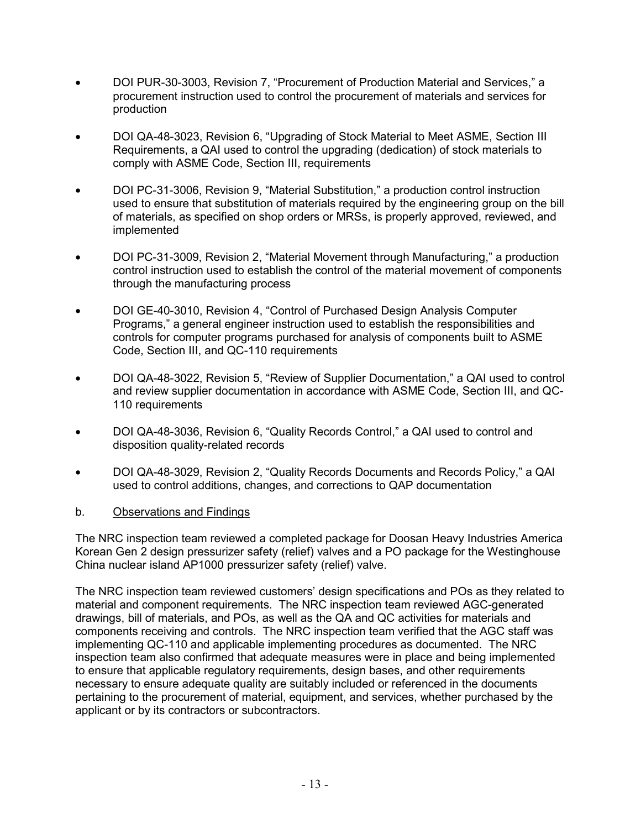- DOI PUR-30-3003, Revision 7, "Procurement of Production Material and Services," a procurement instruction used to control the procurement of materials and services for production
- DOI QA-48-3023, Revision 6, "Upgrading of Stock Material to Meet ASME, Section III Requirements, a QAI used to control the upgrading (dedication) of stock materials to comply with ASME Code, Section III, requirements
- DOI PC-31-3006, Revision 9, "Material Substitution," a production control instruction used to ensure that substitution of materials required by the engineering group on the bill of materials, as specified on shop orders or MRSs, is properly approved, reviewed, and implemented
- DOI PC-31-3009, Revision 2, "Material Movement through Manufacturing," a production control instruction used to establish the control of the material movement of components through the manufacturing process
- DOI GE-40-3010, Revision 4, "Control of Purchased Design Analysis Computer Programs," a general engineer instruction used to establish the responsibilities and controls for computer programs purchased for analysis of components built to ASME Code, Section III, and QC-110 requirements
- DOI QA-48-3022, Revision 5, "Review of Supplier Documentation," a QAI used to control and review supplier documentation in accordance with ASME Code, Section III, and QC-110 requirements
- DOI QA-48-3036, Revision 6, "Quality Records Control," a QAI used to control and disposition quality-related records
- DOI QA-48-3029, Revision 2, "Quality Records Documents and Records Policy," a QAI used to control additions, changes, and corrections to QAP documentation

#### b. Observations and Findings

The NRC inspection team reviewed a completed package for Doosan Heavy Industries America Korean Gen 2 design pressurizer safety (relief) valves and a PO package for the Westinghouse China nuclear island AP1000 pressurizer safety (relief) valve.

The NRC inspection team reviewed customers' design specifications and POs as they related to material and component requirements. The NRC inspection team reviewed AGC-generated drawings, bill of materials, and POs, as well as the QA and QC activities for materials and components receiving and controls. The NRC inspection team verified that the AGC staff was implementing QC-110 and applicable implementing procedures as documented. The NRC inspection team also confirmed that adequate measures were in place and being implemented to ensure that applicable regulatory requirements, design bases, and other requirements necessary to ensure adequate quality are suitably included or referenced in the documents pertaining to the procurement of material, equipment, and services, whether purchased by the applicant or by its contractors or subcontractors.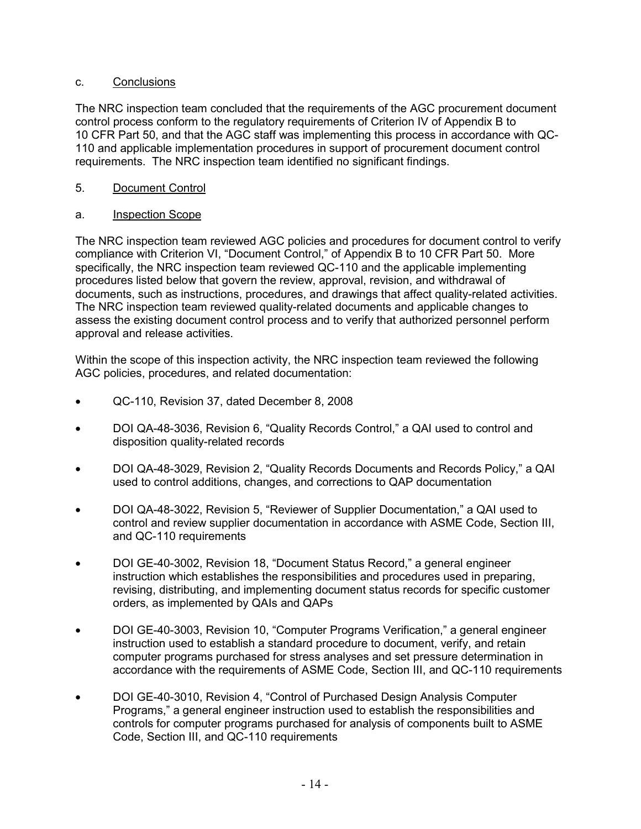### c. Conclusions

The NRC inspection team concluded that the requirements of the AGC procurement document control process conform to the regulatory requirements of Criterion IV of Appendix B to 10 CFR Part 50, and that the AGC staff was implementing this process in accordance with QC-110 and applicable implementation procedures in support of procurement document control requirements. The NRC inspection team identified no significant findings.

### 5. Document Control

### a. Inspection Scope

The NRC inspection team reviewed AGC policies and procedures for document control to verify compliance with Criterion VI, "Document Control," of Appendix B to 10 CFR Part 50. More specifically, the NRC inspection team reviewed QC-110 and the applicable implementing procedures listed below that govern the review, approval, revision, and withdrawal of documents, such as instructions, procedures, and drawings that affect quality-related activities. The NRC inspection team reviewed quality-related documents and applicable changes to assess the existing document control process and to verify that authorized personnel perform approval and release activities.

Within the scope of this inspection activity, the NRC inspection team reviewed the following AGC policies, procedures, and related documentation:

- QC-110, Revision 37, dated December 8, 2008
- DOI QA-48-3036, Revision 6, "Quality Records Control," a QAI used to control and disposition quality-related records
- DOI QA-48-3029, Revision 2, "Quality Records Documents and Records Policy," a QAI used to control additions, changes, and corrections to QAP documentation
- DOI QA-48-3022, Revision 5, "Reviewer of Supplier Documentation," a QAI used to control and review supplier documentation in accordance with ASME Code, Section III, and QC-110 requirements
- DOI GE-40-3002, Revision 18, "Document Status Record," a general engineer instruction which establishes the responsibilities and procedures used in preparing, revising, distributing, and implementing document status records for specific customer orders, as implemented by QAIs and QAPs
- DOI GE-40-3003, Revision 10, "Computer Programs Verification," a general engineer instruction used to establish a standard procedure to document, verify, and retain computer programs purchased for stress analyses and set pressure determination in accordance with the requirements of ASME Code, Section III, and QC-110 requirements
- DOI GE-40-3010, Revision 4, "Control of Purchased Design Analysis Computer Programs," a general engineer instruction used to establish the responsibilities and controls for computer programs purchased for analysis of components built to ASME Code, Section III, and QC-110 requirements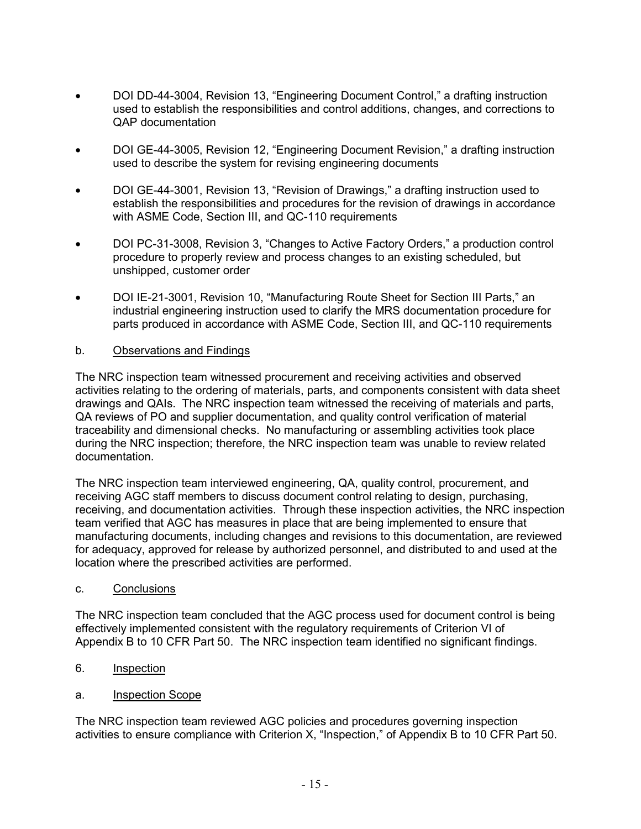- DOI DD-44-3004, Revision 13, "Engineering Document Control," a drafting instruction used to establish the responsibilities and control additions, changes, and corrections to QAP documentation
- DOI GE-44-3005, Revision 12, "Engineering Document Revision," a drafting instruction used to describe the system for revising engineering documents
- DOI GE-44-3001, Revision 13, "Revision of Drawings," a drafting instruction used to establish the responsibilities and procedures for the revision of drawings in accordance with ASME Code, Section III, and QC-110 requirements
- DOI PC-31-3008, Revision 3, "Changes to Active Factory Orders," a production control procedure to properly review and process changes to an existing scheduled, but unshipped, customer order
- DOI IE-21-3001, Revision 10, "Manufacturing Route Sheet for Section III Parts," an industrial engineering instruction used to clarify the MRS documentation procedure for parts produced in accordance with ASME Code, Section III, and QC-110 requirements

#### b. Observations and Findings

The NRC inspection team witnessed procurement and receiving activities and observed activities relating to the ordering of materials, parts, and components consistent with data sheet drawings and QAIs. The NRC inspection team witnessed the receiving of materials and parts, QA reviews of PO and supplier documentation, and quality control verification of material traceability and dimensional checks. No manufacturing or assembling activities took place during the NRC inspection; therefore, the NRC inspection team was unable to review related documentation.

The NRC inspection team interviewed engineering, QA, quality control, procurement, and receiving AGC staff members to discuss document control relating to design, purchasing, receiving, and documentation activities. Through these inspection activities, the NRC inspection team verified that AGC has measures in place that are being implemented to ensure that manufacturing documents, including changes and revisions to this documentation, are reviewed for adequacy, approved for release by authorized personnel, and distributed to and used at the location where the prescribed activities are performed.

#### c. Conclusions

The NRC inspection team concluded that the AGC process used for document control is being effectively implemented consistent with the regulatory requirements of Criterion VI of Appendix B to 10 CFR Part 50. The NRC inspection team identified no significant findings.

- 6. Inspection
- a. Inspection Scope

The NRC inspection team reviewed AGC policies and procedures governing inspection activities to ensure compliance with Criterion X, "Inspection," of Appendix B to 10 CFR Part 50.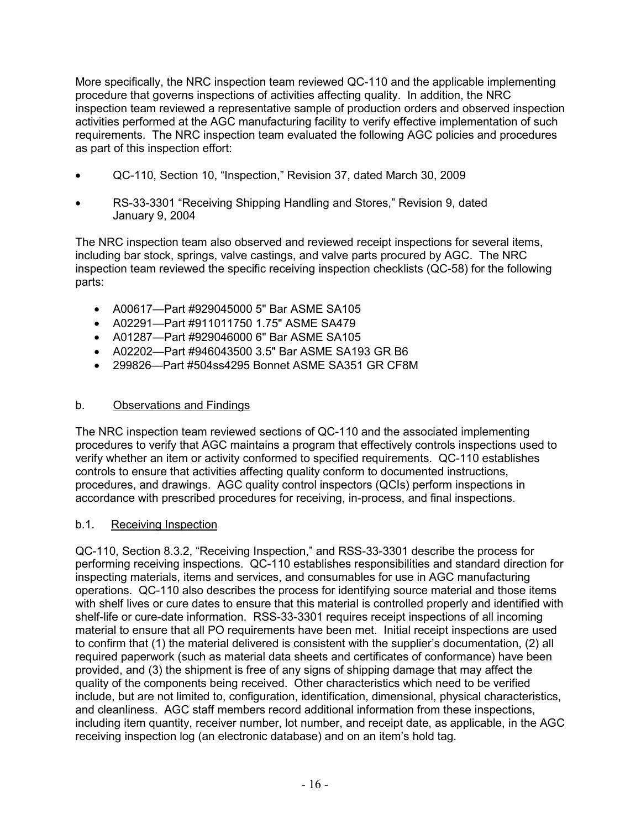More specifically, the NRC inspection team reviewed QC-110 and the applicable implementing procedure that governs inspections of activities affecting quality. In addition, the NRC inspection team reviewed a representative sample of production orders and observed inspection activities performed at the AGC manufacturing facility to verify effective implementation of such requirements. The NRC inspection team evaluated the following AGC policies and procedures as part of this inspection effort:

- QC-110, Section 10, "Inspection," Revision 37, dated March 30, 2009
- RS-33-3301 "Receiving Shipping Handling and Stores," Revision 9, dated January 9, 2004

The NRC inspection team also observed and reviewed receipt inspections for several items, including bar stock, springs, valve castings, and valve parts procured by AGC. The NRC inspection team reviewed the specific receiving inspection checklists (QC-58) for the following parts:

- A00617—Part #929045000 5" Bar ASME SA105
- A02291—Part #911011750 1.75" ASME SA479
- A01287—Part #929046000 6" Bar ASME SA105
- A02202—Part #946043500 3.5" Bar ASME SA193 GR B6
- 299826—Part #504ss4295 Bonnet ASME SA351 GR CF8M

### b. Observations and Findings

The NRC inspection team reviewed sections of QC-110 and the associated implementing procedures to verify that AGC maintains a program that effectively controls inspections used to verify whether an item or activity conformed to specified requirements. QC-110 establishes controls to ensure that activities affecting quality conform to documented instructions, procedures, and drawings. AGC quality control inspectors (QCIs) perform inspections in accordance with prescribed procedures for receiving, in-process, and final inspections.

#### b.1. Receiving Inspection

QC-110, Section 8.3.2, "Receiving Inspection," and RSS-33-3301 describe the process for performing receiving inspections. QC-110 establishes responsibilities and standard direction for inspecting materials, items and services, and consumables for use in AGC manufacturing operations. QC-110 also describes the process for identifying source material and those items with shelf lives or cure dates to ensure that this material is controlled properly and identified with shelf-life or cure-date information. RSS-33-3301 requires receipt inspections of all incoming material to ensure that all PO requirements have been met. Initial receipt inspections are used to confirm that (1) the material delivered is consistent with the supplier's documentation, (2) all required paperwork (such as material data sheets and certificates of conformance) have been provided, and (3) the shipment is free of any signs of shipping damage that may affect the quality of the components being received. Other characteristics which need to be verified include, but are not limited to, configuration, identification, dimensional, physical characteristics, and cleanliness. AGC staff members record additional information from these inspections, including item quantity, receiver number, lot number, and receipt date, as applicable, in the AGC receiving inspection log (an electronic database) and on an item's hold tag.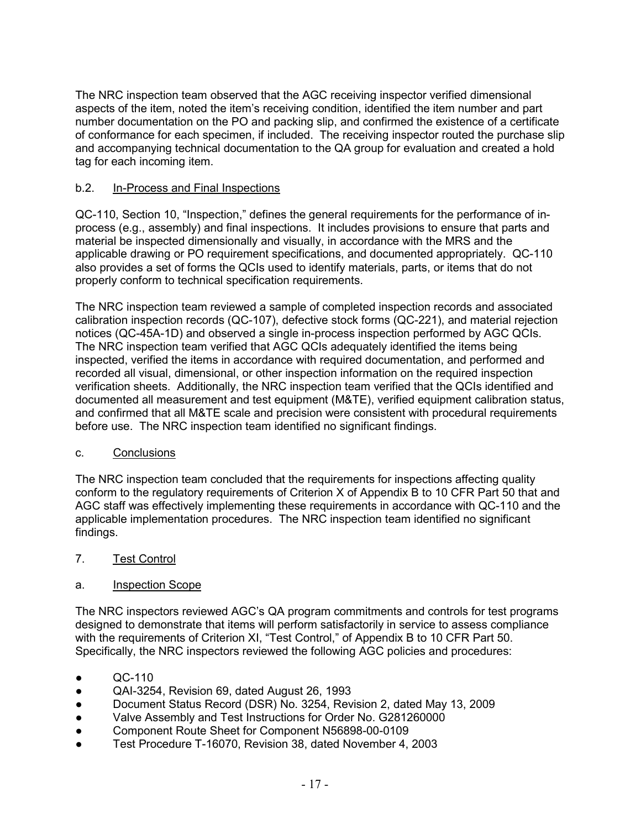The NRC inspection team observed that the AGC receiving inspector verified dimensional aspects of the item, noted the item's receiving condition, identified the item number and part number documentation on the PO and packing slip, and confirmed the existence of a certificate of conformance for each specimen, if included. The receiving inspector routed the purchase slip and accompanying technical documentation to the QA group for evaluation and created a hold tag for each incoming item.

## b.2. In-Process and Final Inspections

QC-110, Section 10, "Inspection," defines the general requirements for the performance of inprocess (e.g., assembly) and final inspections. It includes provisions to ensure that parts and material be inspected dimensionally and visually, in accordance with the MRS and the applicable drawing or PO requirement specifications, and documented appropriately. QC-110 also provides a set of forms the QCIs used to identify materials, parts, or items that do not properly conform to technical specification requirements.

The NRC inspection team reviewed a sample of completed inspection records and associated calibration inspection records (QC-107), defective stock forms (QC-221), and material rejection notices (QC-45A-1D) and observed a single in-process inspection performed by AGC QCIs. The NRC inspection team verified that AGC QCIs adequately identified the items being inspected, verified the items in accordance with required documentation, and performed and recorded all visual, dimensional, or other inspection information on the required inspection verification sheets. Additionally, the NRC inspection team verified that the QCIs identified and documented all measurement and test equipment (M&TE), verified equipment calibration status, and confirmed that all M&TE scale and precision were consistent with procedural requirements before use. The NRC inspection team identified no significant findings.

## c. Conclusions

The NRC inspection team concluded that the requirements for inspections affecting quality conform to the regulatory requirements of Criterion X of Appendix B to 10 CFR Part 50 that and AGC staff was effectively implementing these requirements in accordance with QC-110 and the applicable implementation procedures. The NRC inspection team identified no significant findings.

## 7. Test Control

## a. Inspection Scope

The NRC inspectors reviewed AGC's QA program commitments and controls for test programs designed to demonstrate that items will perform satisfactorily in service to assess compliance with the requirements of Criterion XI, "Test Control," of Appendix B to 10 CFR Part 50. Specifically, the NRC inspectors reviewed the following AGC policies and procedures:

- $OC-110$
- QAI-3254, Revision 69, dated August 26, 1993
- Document Status Record (DSR) No. 3254, Revision 2, dated May 13, 2009
- Valve Assembly and Test Instructions for Order No. G281260000
- Component Route Sheet for Component N56898-00-0109
- Test Procedure T-16070, Revision 38, dated November 4, 2003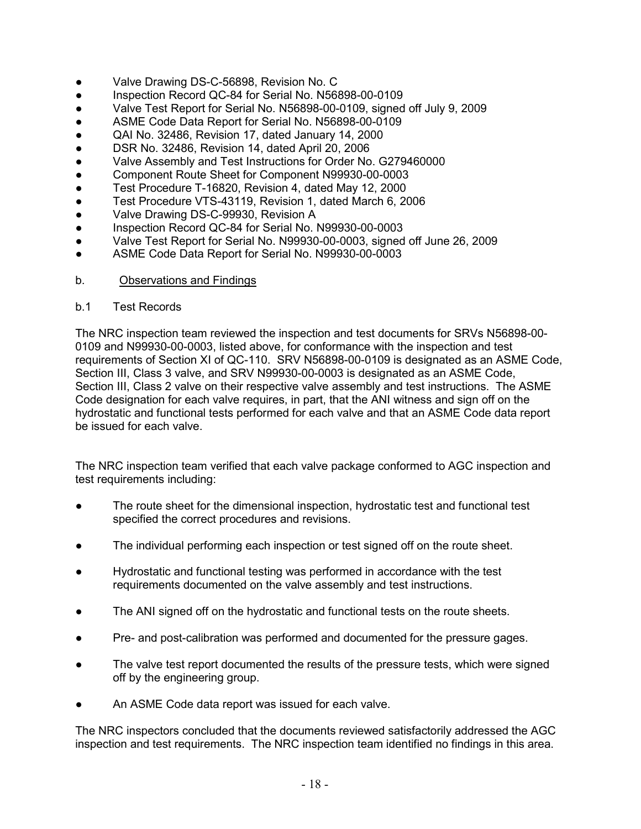- Valve Drawing DS-C-56898, Revision No. C
- Inspection Record QC-84 for Serial No. N56898-00-0109
- Valve Test Report for Serial No. N56898-00-0109, signed off July 9, 2009
- ASME Code Data Report for Serial No. N56898-00-0109
- QAI No. 32486, Revision 17, dated January 14, 2000
- DSR No. 32486, Revision 14, dated April 20, 2006
- Valve Assembly and Test Instructions for Order No. G279460000
- Component Route Sheet for Component N99930-00-0003
- Test Procedure T-16820, Revision 4, dated May 12, 2000
- Test Procedure VTS-43119, Revision 1, dated March 6, 2006
- Valve Drawing DS-C-99930, Revision A
- Inspection Record QC-84 for Serial No. N99930-00-0003
- Valve Test Report for Serial No. N99930-00-0003, signed off June 26, 2009
- ASME Code Data Report for Serial No. N99930-00-0003
- b. **Observations and Findings**
- b.1 Test Records

The NRC inspection team reviewed the inspection and test documents for SRVs N56898-00- 0109 and N99930-00-0003, listed above, for conformance with the inspection and test requirements of Section XI of QC-110. SRV N56898-00-0109 is designated as an ASME Code, Section III, Class 3 valve, and SRV N99930-00-0003 is designated as an ASME Code, Section III, Class 2 valve on their respective valve assembly and test instructions. The ASME Code designation for each valve requires, in part, that the ANI witness and sign off on the hydrostatic and functional tests performed for each valve and that an ASME Code data report be issued for each valve.

The NRC inspection team verified that each valve package conformed to AGC inspection and test requirements including:

- The route sheet for the dimensional inspection, hydrostatic test and functional test specified the correct procedures and revisions.
- The individual performing each inspection or test signed off on the route sheet.
- Hydrostatic and functional testing was performed in accordance with the test requirements documented on the valve assembly and test instructions.
- The ANI signed off on the hydrostatic and functional tests on the route sheets.
- Pre- and post-calibration was performed and documented for the pressure gages.
- The valve test report documented the results of the pressure tests, which were signed off by the engineering group.
- An ASME Code data report was issued for each valve.

The NRC inspectors concluded that the documents reviewed satisfactorily addressed the AGC inspection and test requirements. The NRC inspection team identified no findings in this area.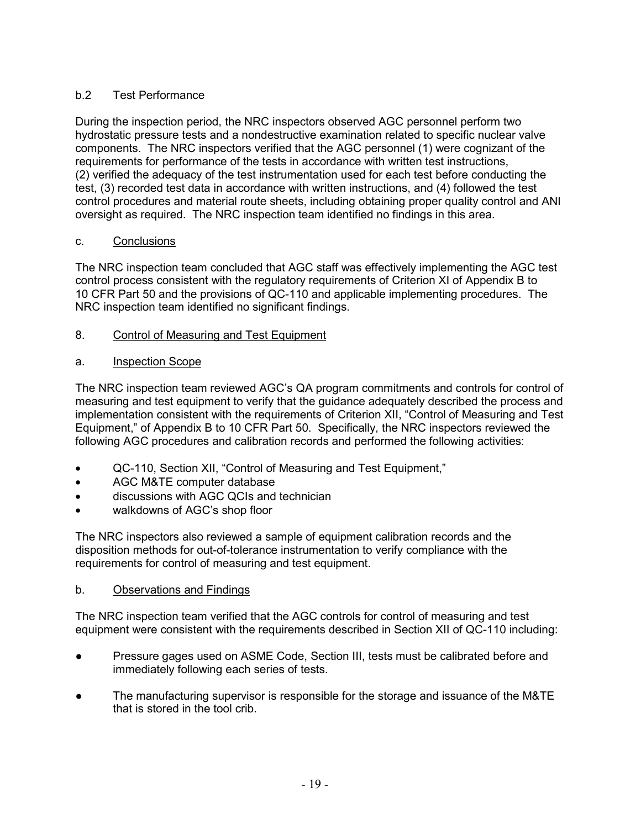# b.2 Test Performance

During the inspection period, the NRC inspectors observed AGC personnel perform two hydrostatic pressure tests and a nondestructive examination related to specific nuclear valve components. The NRC inspectors verified that the AGC personnel (1) were cognizant of the requirements for performance of the tests in accordance with written test instructions, (2) verified the adequacy of the test instrumentation used for each test before conducting the test, (3) recorded test data in accordance with written instructions, and (4) followed the test control procedures and material route sheets, including obtaining proper quality control and ANI oversight as required. The NRC inspection team identified no findings in this area.

## c. Conclusions

The NRC inspection team concluded that AGC staff was effectively implementing the AGC test control process consistent with the regulatory requirements of Criterion XI of Appendix B to 10 CFR Part 50 and the provisions of QC-110 and applicable implementing procedures. The NRC inspection team identified no significant findings.

8. Control of Measuring and Test Equipment

# a. Inspection Scope

The NRC inspection team reviewed AGC's QA program commitments and controls for control of measuring and test equipment to verify that the guidance adequately described the process and implementation consistent with the requirements of Criterion XII, "Control of Measuring and Test Equipment," of Appendix B to 10 CFR Part 50. Specifically, the NRC inspectors reviewed the following AGC procedures and calibration records and performed the following activities:

- QC-110, Section XII, "Control of Measuring and Test Equipment,"
- AGC M&TE computer database
- discussions with AGC QCIs and technician
- walkdowns of AGC's shop floor

The NRC inspectors also reviewed a sample of equipment calibration records and the disposition methods for out-of-tolerance instrumentation to verify compliance with the requirements for control of measuring and test equipment.

## b. Observations and Findings

The NRC inspection team verified that the AGC controls for control of measuring and test equipment were consistent with the requirements described in Section XII of QC-110 including:

- Pressure gages used on ASME Code, Section III, tests must be calibrated before and immediately following each series of tests.
- The manufacturing supervisor is responsible for the storage and issuance of the M&TE that is stored in the tool crib.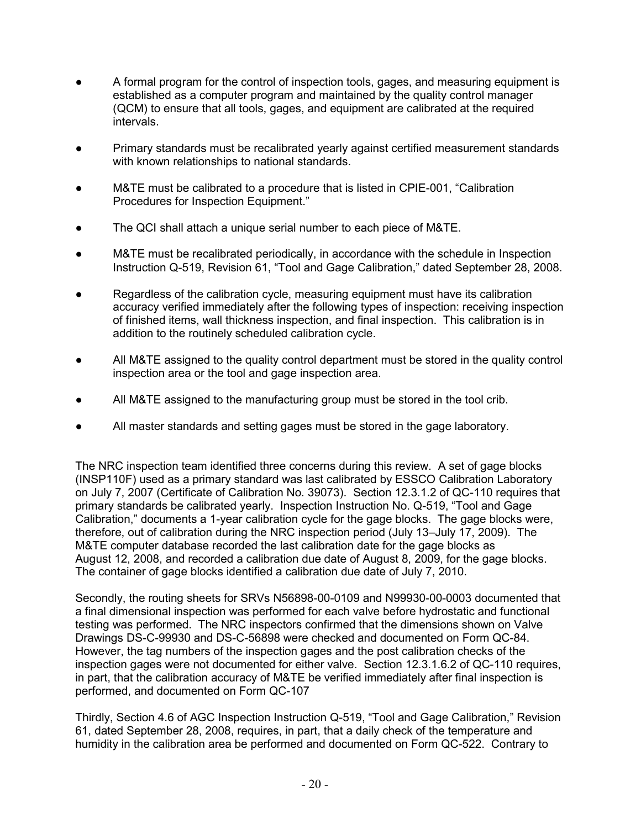- A formal program for the control of inspection tools, gages, and measuring equipment is established as a computer program and maintained by the quality control manager (QCM) to ensure that all tools, gages, and equipment are calibrated at the required intervals.
- Primary standards must be recalibrated yearly against certified measurement standards with known relationships to national standards.
- M&TE must be calibrated to a procedure that is listed in CPIE-001, "Calibration Procedures for Inspection Equipment."
- The QCI shall attach a unique serial number to each piece of M&TE.
- M&TE must be recalibrated periodically, in accordance with the schedule in Inspection Instruction Q-519, Revision 61, "Tool and Gage Calibration," dated September 28, 2008.
- Regardless of the calibration cycle, measuring equipment must have its calibration accuracy verified immediately after the following types of inspection: receiving inspection of finished items, wall thickness inspection, and final inspection. This calibration is in addition to the routinely scheduled calibration cycle.
- All M&TE assigned to the quality control department must be stored in the quality control inspection area or the tool and gage inspection area.
- All M&TE assigned to the manufacturing group must be stored in the tool crib.
- All master standards and setting gages must be stored in the gage laboratory.

The NRC inspection team identified three concerns during this review. A set of gage blocks (INSP110F) used as a primary standard was last calibrated by ESSCO Calibration Laboratory on July 7, 2007 (Certificate of Calibration No. 39073). Section 12.3.1.2 of QC-110 requires that primary standards be calibrated yearly. Inspection Instruction No. Q-519, "Tool and Gage Calibration," documents a 1-year calibration cycle for the gage blocks. The gage blocks were, therefore, out of calibration during the NRC inspection period (July 13–July 17, 2009). The M&TE computer database recorded the last calibration date for the gage blocks as August 12, 2008, and recorded a calibration due date of August 8, 2009, for the gage blocks. The container of gage blocks identified a calibration due date of July 7, 2010.

Secondly, the routing sheets for SRVs N56898-00-0109 and N99930-00-0003 documented that a final dimensional inspection was performed for each valve before hydrostatic and functional testing was performed. The NRC inspectors confirmed that the dimensions shown on Valve Drawings DS-C-99930 and DS-C-56898 were checked and documented on Form QC-84. However, the tag numbers of the inspection gages and the post calibration checks of the inspection gages were not documented for either valve. Section 12.3.1.6.2 of QC-110 requires, in part, that the calibration accuracy of M&TE be verified immediately after final inspection is performed, and documented on Form QC-107

Thirdly, Section 4.6 of AGC Inspection Instruction Q-519, "Tool and Gage Calibration," Revision 61, dated September 28, 2008, requires, in part, that a daily check of the temperature and humidity in the calibration area be performed and documented on Form QC-522. Contrary to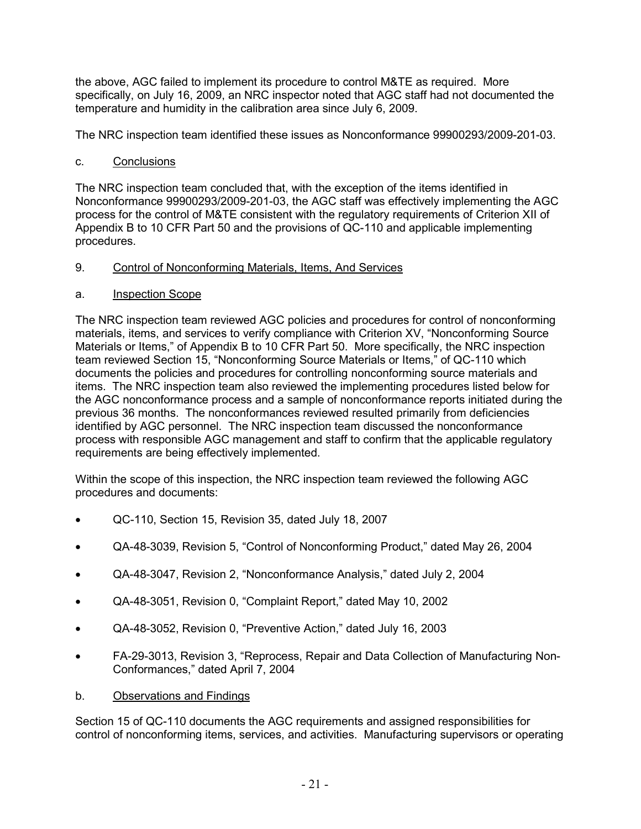the above, AGC failed to implement its procedure to control M&TE as required. More specifically, on July 16, 2009, an NRC inspector noted that AGC staff had not documented the temperature and humidity in the calibration area since July 6, 2009.

The NRC inspection team identified these issues as Nonconformance 99900293/2009-201-03.

c. Conclusions

The NRC inspection team concluded that, with the exception of the items identified in Nonconformance 99900293/2009-201-03, the AGC staff was effectively implementing the AGC process for the control of M&TE consistent with the regulatory requirements of Criterion XII of Appendix B to 10 CFR Part 50 and the provisions of QC-110 and applicable implementing procedures.

## 9. Control of Nonconforming Materials, Items, And Services

### a. Inspection Scope

The NRC inspection team reviewed AGC policies and procedures for control of nonconforming materials, items, and services to verify compliance with Criterion XV, "Nonconforming Source Materials or Items," of Appendix B to 10 CFR Part 50. More specifically, the NRC inspection team reviewed Section 15, "Nonconforming Source Materials or Items," of QC-110 which documents the policies and procedures for controlling nonconforming source materials and items. The NRC inspection team also reviewed the implementing procedures listed below for the AGC nonconformance process and a sample of nonconformance reports initiated during the previous 36 months. The nonconformances reviewed resulted primarily from deficiencies identified by AGC personnel. The NRC inspection team discussed the nonconformance process with responsible AGC management and staff to confirm that the applicable regulatory requirements are being effectively implemented.

Within the scope of this inspection, the NRC inspection team reviewed the following AGC procedures and documents:

- QC-110, Section 15, Revision 35, dated July 18, 2007
- QA-48-3039, Revision 5, "Control of Nonconforming Product," dated May 26, 2004
- QA-48-3047, Revision 2, "Nonconformance Analysis," dated July 2, 2004
- QA-48-3051, Revision 0, "Complaint Report," dated May 10, 2002
- QA-48-3052, Revision 0, "Preventive Action," dated July 16, 2003
- FA-29-3013, Revision 3, "Reprocess, Repair and Data Collection of Manufacturing Non-Conformances," dated April 7, 2004

## b. Observations and Findings

Section 15 of QC-110 documents the AGC requirements and assigned responsibilities for control of nonconforming items, services, and activities. Manufacturing supervisors or operating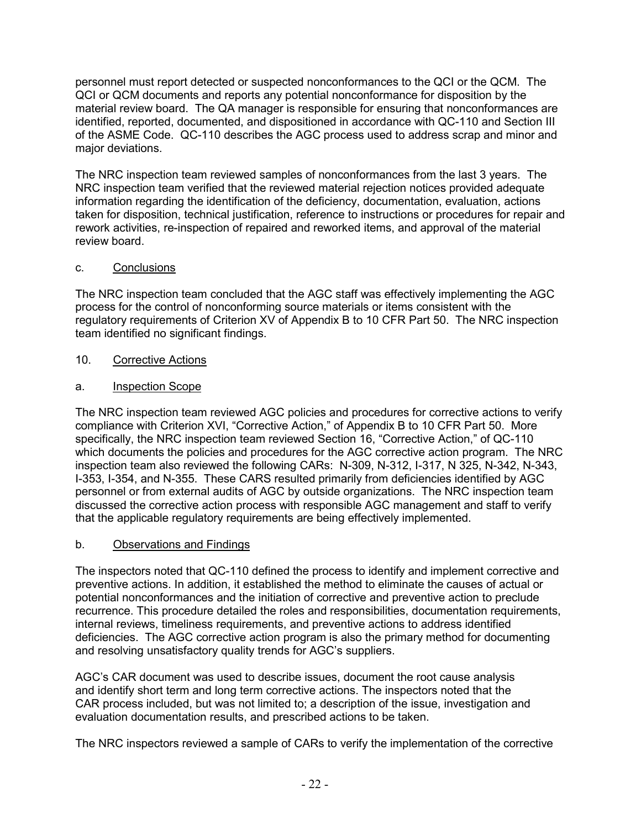personnel must report detected or suspected nonconformances to the QCI or the QCM. The QCI or QCM documents and reports any potential nonconformance for disposition by the material review board. The QA manager is responsible for ensuring that nonconformances are identified, reported, documented, and dispositioned in accordance with QC-110 and Section III of the ASME Code. QC-110 describes the AGC process used to address scrap and minor and major deviations.

The NRC inspection team reviewed samples of nonconformances from the last 3 years. The NRC inspection team verified that the reviewed material rejection notices provided adequate information regarding the identification of the deficiency, documentation, evaluation, actions taken for disposition, technical justification, reference to instructions or procedures for repair and rework activities, re-inspection of repaired and reworked items, and approval of the material review board.

## c. Conclusions

The NRC inspection team concluded that the AGC staff was effectively implementing the AGC process for the control of nonconforming source materials or items consistent with the regulatory requirements of Criterion XV of Appendix B to 10 CFR Part 50. The NRC inspection team identified no significant findings.

# 10. Corrective Actions

a. Inspection Scope

The NRC inspection team reviewed AGC policies and procedures for corrective actions to verify compliance with Criterion XVI, "Corrective Action," of Appendix B to 10 CFR Part 50. More specifically, the NRC inspection team reviewed Section 16, "Corrective Action," of QC-110 which documents the policies and procedures for the AGC corrective action program. The NRC inspection team also reviewed the following CARs: N-309, N-312, I-317, N 325, N-342, N-343, I-353, I-354, and N-355. These CARS resulted primarily from deficiencies identified by AGC personnel or from external audits of AGC by outside organizations. The NRC inspection team discussed the corrective action process with responsible AGC management and staff to verify that the applicable regulatory requirements are being effectively implemented.

## b. Observations and Findings

The inspectors noted that QC-110 defined the process to identify and implement corrective and preventive actions. In addition, it established the method to eliminate the causes of actual or potential nonconformances and the initiation of corrective and preventive action to preclude recurrence. This procedure detailed the roles and responsibilities, documentation requirements, internal reviews, timeliness requirements, and preventive actions to address identified deficiencies. The AGC corrective action program is also the primary method for documenting and resolving unsatisfactory quality trends for AGC's suppliers.

AGC's CAR document was used to describe issues, document the root cause analysis and identify short term and long term corrective actions. The inspectors noted that the CAR process included, but was not limited to; a description of the issue, investigation and evaluation documentation results, and prescribed actions to be taken.

The NRC inspectors reviewed a sample of CARs to verify the implementation of the corrective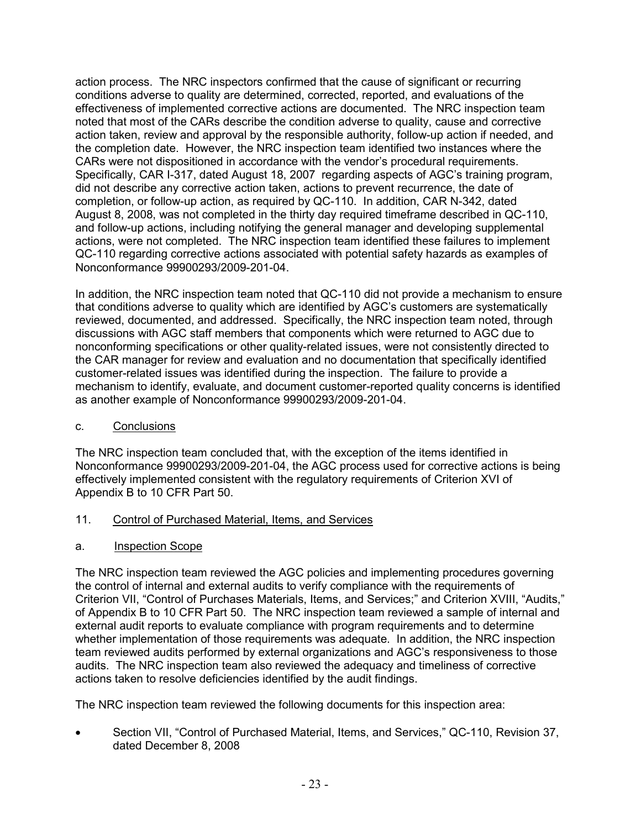action process. The NRC inspectors confirmed that the cause of significant or recurring conditions adverse to quality are determined, corrected, reported, and evaluations of the effectiveness of implemented corrective actions are documented. The NRC inspection team noted that most of the CARs describe the condition adverse to quality, cause and corrective action taken, review and approval by the responsible authority, follow-up action if needed, and the completion date. However, the NRC inspection team identified two instances where the CARs were not dispositioned in accordance with the vendor's procedural requirements. Specifically, CAR I-317, dated August 18, 2007 regarding aspects of AGC's training program, did not describe any corrective action taken, actions to prevent recurrence, the date of completion, or follow-up action, as required by QC-110. In addition, CAR N-342, dated August 8, 2008, was not completed in the thirty day required timeframe described in QC-110, and follow-up actions, including notifying the general manager and developing supplemental actions, were not completed. The NRC inspection team identified these failures to implement QC-110 regarding corrective actions associated with potential safety hazards as examples of Nonconformance 99900293/2009-201-04.

In addition, the NRC inspection team noted that QC-110 did not provide a mechanism to ensure that conditions adverse to quality which are identified by AGC's customers are systematically reviewed, documented, and addressed. Specifically, the NRC inspection team noted, through discussions with AGC staff members that components which were returned to AGC due to nonconforming specifications or other quality-related issues, were not consistently directed to the CAR manager for review and evaluation and no documentation that specifically identified customer-related issues was identified during the inspection. The failure to provide a mechanism to identify, evaluate, and document customer-reported quality concerns is identified as another example of Nonconformance 99900293/2009-201-04.

c. Conclusions

The NRC inspection team concluded that, with the exception of the items identified in Nonconformance 99900293/2009-201-04, the AGC process used for corrective actions is being effectively implemented consistent with the regulatory requirements of Criterion XVI of Appendix B to 10 CFR Part 50.

## 11. Control of Purchased Material, Items, and Services

a. Inspection Scope

The NRC inspection team reviewed the AGC policies and implementing procedures governing the control of internal and external audits to verify compliance with the requirements of Criterion VII, "Control of Purchases Materials, Items, and Services;" and Criterion XVIII, "Audits," of Appendix B to 10 CFR Part 50. The NRC inspection team reviewed a sample of internal and external audit reports to evaluate compliance with program requirements and to determine whether implementation of those requirements was adequate. In addition, the NRC inspection team reviewed audits performed by external organizations and AGC's responsiveness to those audits. The NRC inspection team also reviewed the adequacy and timeliness of corrective actions taken to resolve deficiencies identified by the audit findings.

The NRC inspection team reviewed the following documents for this inspection area:

• Section VII, "Control of Purchased Material, Items, and Services," QC-110, Revision 37, dated December 8, 2008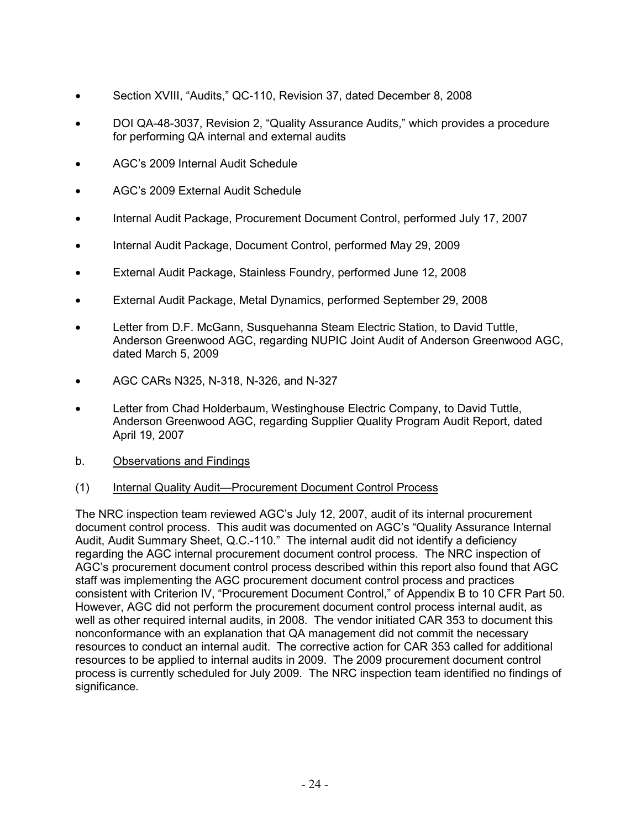- Section XVIII, "Audits," QC-110, Revision 37, dated December 8, 2008
- DOI QA-48-3037, Revision 2, "Quality Assurance Audits," which provides a procedure for performing QA internal and external audits
- AGC's 2009 Internal Audit Schedule
- AGC's 2009 External Audit Schedule
- Internal Audit Package, Procurement Document Control, performed July 17, 2007
- Internal Audit Package, Document Control, performed May 29, 2009
- External Audit Package, Stainless Foundry, performed June 12, 2008
- External Audit Package, Metal Dynamics, performed September 29, 2008
- Letter from D.F. McGann, Susquehanna Steam Electric Station, to David Tuttle, Anderson Greenwood AGC, regarding NUPIC Joint Audit of Anderson Greenwood AGC, dated March 5, 2009
- AGC CARs N325, N-318, N-326, and N-327
- Letter from Chad Holderbaum, Westinghouse Electric Company, to David Tuttle, Anderson Greenwood AGC, regarding Supplier Quality Program Audit Report, dated April 19, 2007
- b. Observations and Findings

#### (1) Internal Quality Audit—Procurement Document Control Process

The NRC inspection team reviewed AGC's July 12, 2007, audit of its internal procurement document control process. This audit was documented on AGC's "Quality Assurance Internal Audit, Audit Summary Sheet, Q.C.-110." The internal audit did not identify a deficiency regarding the AGC internal procurement document control process. The NRC inspection of AGC's procurement document control process described within this report also found that AGC staff was implementing the AGC procurement document control process and practices consistent with Criterion IV, "Procurement Document Control," of Appendix B to 10 CFR Part 50. However, AGC did not perform the procurement document control process internal audit, as well as other required internal audits, in 2008. The vendor initiated CAR 353 to document this nonconformance with an explanation that QA management did not commit the necessary resources to conduct an internal audit. The corrective action for CAR 353 called for additional resources to be applied to internal audits in 2009. The 2009 procurement document control process is currently scheduled for July 2009. The NRC inspection team identified no findings of significance.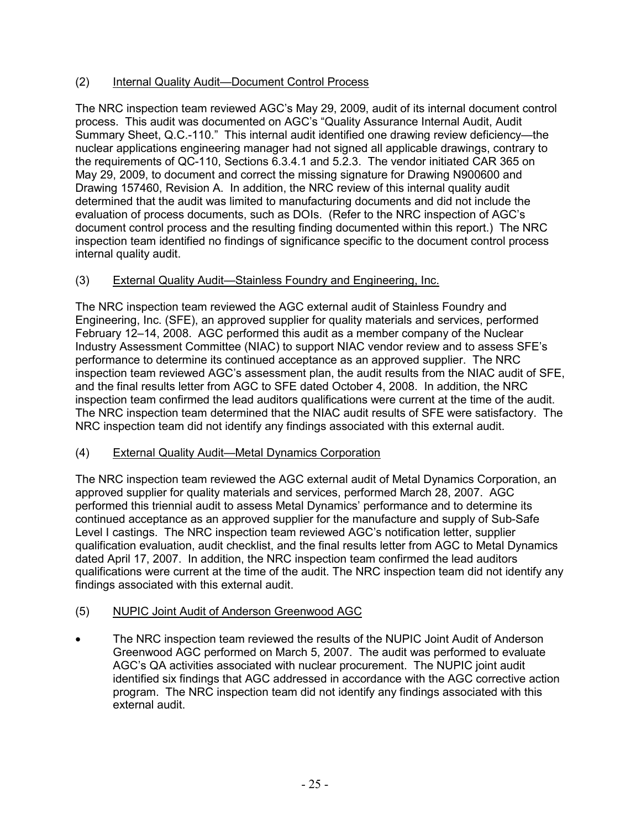## (2) Internal Quality Audit—Document Control Process

The NRC inspection team reviewed AGC's May 29, 2009, audit of its internal document control process. This audit was documented on AGC's "Quality Assurance Internal Audit, Audit Summary Sheet, Q.C.-110." This internal audit identified one drawing review deficiency—the nuclear applications engineering manager had not signed all applicable drawings, contrary to the requirements of QC-110, Sections 6.3.4.1 and 5.2.3. The vendor initiated CAR 365 on May 29, 2009, to document and correct the missing signature for Drawing N900600 and Drawing 157460, Revision A. In addition, the NRC review of this internal quality audit determined that the audit was limited to manufacturing documents and did not include the evaluation of process documents, such as DOIs. (Refer to the NRC inspection of AGC's document control process and the resulting finding documented within this report.) The NRC inspection team identified no findings of significance specific to the document control process internal quality audit.

# (3) External Quality Audit—Stainless Foundry and Engineering, Inc.

The NRC inspection team reviewed the AGC external audit of Stainless Foundry and Engineering, Inc. (SFE), an approved supplier for quality materials and services, performed February 12–14, 2008. AGC performed this audit as a member company of the Nuclear Industry Assessment Committee (NIAC) to support NIAC vendor review and to assess SFE's performance to determine its continued acceptance as an approved supplier. The NRC inspection team reviewed AGC's assessment plan, the audit results from the NIAC audit of SFE, and the final results letter from AGC to SFE dated October 4, 2008. In addition, the NRC inspection team confirmed the lead auditors qualifications were current at the time of the audit. The NRC inspection team determined that the NIAC audit results of SFE were satisfactory. The NRC inspection team did not identify any findings associated with this external audit.

# (4) External Quality Audit—Metal Dynamics Corporation

The NRC inspection team reviewed the AGC external audit of Metal Dynamics Corporation, an approved supplier for quality materials and services, performed March 28, 2007. AGC performed this triennial audit to assess Metal Dynamics' performance and to determine its continued acceptance as an approved supplier for the manufacture and supply of Sub-Safe Level I castings. The NRC inspection team reviewed AGC's notification letter, supplier qualification evaluation, audit checklist, and the final results letter from AGC to Metal Dynamics dated April 17, 2007. In addition, the NRC inspection team confirmed the lead auditors qualifications were current at the time of the audit. The NRC inspection team did not identify any findings associated with this external audit.

# (5) NUPIC Joint Audit of Anderson Greenwood AGC

The NRC inspection team reviewed the results of the NUPIC Joint Audit of Anderson Greenwood AGC performed on March 5, 2007. The audit was performed to evaluate AGC's QA activities associated with nuclear procurement. The NUPIC joint audit identified six findings that AGC addressed in accordance with the AGC corrective action program. The NRC inspection team did not identify any findings associated with this external audit.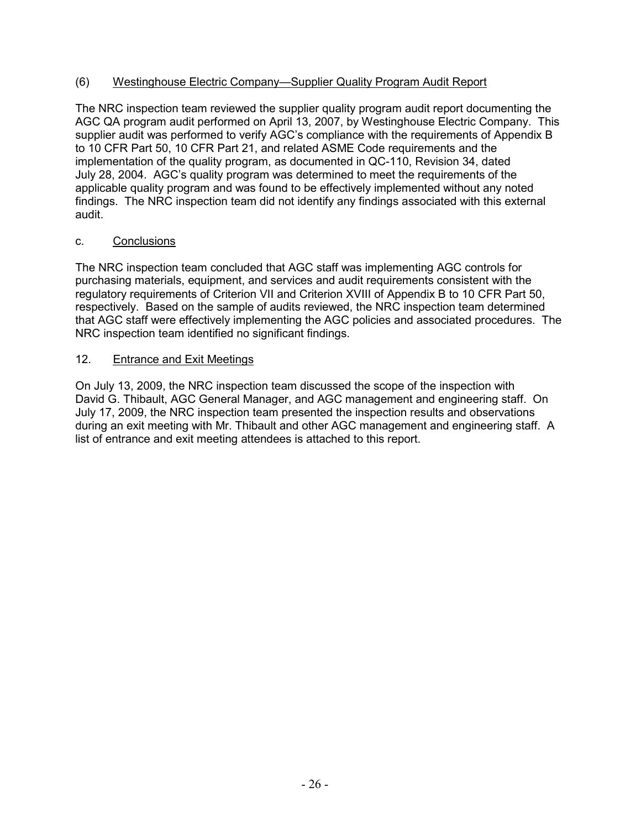### (6) Westinghouse Electric Company—Supplier Quality Program Audit Report

The NRC inspection team reviewed the supplier quality program audit report documenting the AGC QA program audit performed on April 13, 2007, by Westinghouse Electric Company. This supplier audit was performed to verify AGC's compliance with the requirements of Appendix B to 10 CFR Part 50, 10 CFR Part 21, and related ASME Code requirements and the implementation of the quality program, as documented in QC-110, Revision 34, dated July 28, 2004. AGC's quality program was determined to meet the requirements of the applicable quality program and was found to be effectively implemented without any noted findings. The NRC inspection team did not identify any findings associated with this external audit.

### c. Conclusions

The NRC inspection team concluded that AGC staff was implementing AGC controls for purchasing materials, equipment, and services and audit requirements consistent with the regulatory requirements of Criterion VII and Criterion XVIII of Appendix B to 10 CFR Part 50, respectively. Based on the sample of audits reviewed, the NRC inspection team determined that AGC staff were effectively implementing the AGC policies and associated procedures. The NRC inspection team identified no significant findings.

#### 12. Entrance and Exit Meetings

On July 13, 2009, the NRC inspection team discussed the scope of the inspection with David G. Thibault, AGC General Manager, and AGC management and engineering staff. On July 17, 2009, the NRC inspection team presented the inspection results and observations during an exit meeting with Mr. Thibault and other AGC management and engineering staff. A list of entrance and exit meeting attendees is attached to this report.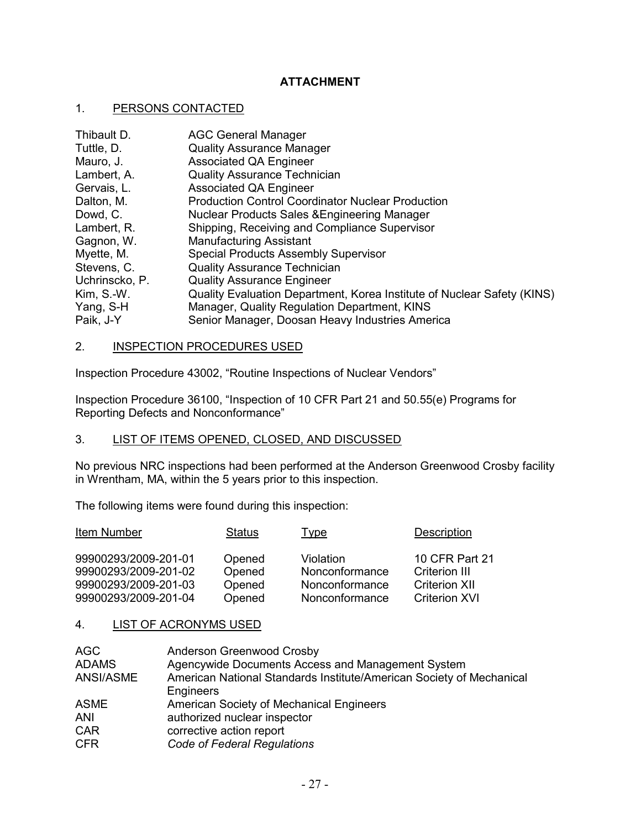### **ATTACHMENT**

#### 1. PERSONS CONTACTED

| Thibault D.    | <b>AGC General Manager</b>                                              |
|----------------|-------------------------------------------------------------------------|
| Tuttle, D.     | <b>Quality Assurance Manager</b>                                        |
| Mauro, J.      | <b>Associated QA Engineer</b>                                           |
| Lambert, A.    | <b>Quality Assurance Technician</b>                                     |
| Gervais, L.    | Associated QA Engineer                                                  |
| Dalton, M.     | <b>Production Control Coordinator Nuclear Production</b>                |
| Dowd, C.       | Nuclear Products Sales & Engineering Manager                            |
| Lambert, R.    | Shipping, Receiving and Compliance Supervisor                           |
| Gagnon, W.     | <b>Manufacturing Assistant</b>                                          |
| Myette, M.     | <b>Special Products Assembly Supervisor</b>                             |
| Stevens, C.    | <b>Quality Assurance Technician</b>                                     |
| Uchrinscko, P. | <b>Quality Assurance Engineer</b>                                       |
| $Kim, S.-W.$   | Quality Evaluation Department, Korea Institute of Nuclear Safety (KINS) |
| Yang, S-H      | Manager, Quality Regulation Department, KINS                            |
| Paik, J-Y      | Senior Manager, Doosan Heavy Industries America                         |

#### 2. INSPECTION PROCEDURES USED

Inspection Procedure 43002, "Routine Inspections of Nuclear Vendors"

Inspection Procedure 36100, "Inspection of 10 CFR Part 21 and 50.55(e) Programs for Reporting Defects and Nonconformance"

# 3. LIST OF ITEMS OPENED, CLOSED, AND DISCUSSED

No previous NRC inspections had been performed at the Anderson Greenwood Crosby facility in Wrentham, MA, within the 5 years prior to this inspection.

The following items were found during this inspection:

| Item Number          | <b>Status</b> | <b>Type</b>    | <b>Description</b>   |
|----------------------|---------------|----------------|----------------------|
| 99900293/2009-201-01 | Opened        | Violation      | 10 CFR Part 21       |
| 99900293/2009-201-02 | Opened        | Nonconformance | <b>Criterion III</b> |
| 99900293/2009-201-03 | Opened        | Nonconformance | <b>Criterion XII</b> |
| 99900293/2009-201-04 | Opened        | Nonconformance | <b>Criterion XVI</b> |

#### 4. LIST OF ACRONYMS USED

| AGC          | Anderson Greenwood Crosby                                            |
|--------------|----------------------------------------------------------------------|
| <b>ADAMS</b> | Agencywide Documents Access and Management System                    |
| ANSI/ASME    | American National Standards Institute/American Society of Mechanical |
|              | Engineers                                                            |
| <b>ASME</b>  | American Society of Mechanical Engineers                             |
| <b>ANI</b>   | authorized nuclear inspector                                         |
| <b>CAR</b>   | corrective action report                                             |
| <b>CFR</b>   | Code of Federal Regulations                                          |